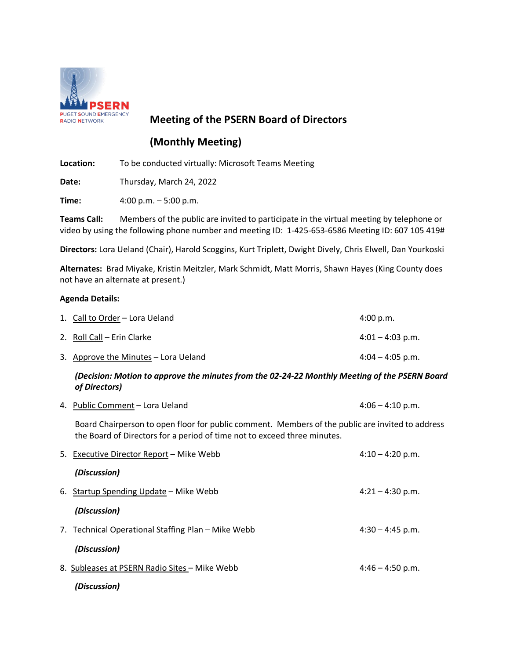

# **Meeting of the PSERN Board of Directors**

# **(Monthly Meeting)**

**Location:** To be conducted virtually: Microsoft Teams Meeting

**Date:** Thursday, March 24, 2022

**Time:** 4:00 p.m. – 5:00 p.m.

**Teams Call:** Members of the public are invited to participate in the virtual meeting by telephone or video by using the following phone number and meeting ID: 1-425-653-6586 Meeting ID: 607 105 419#

**Directors:** Lora Ueland (Chair), Harold Scoggins, Kurt Triplett, Dwight Dively, Chris Elwell, Dan Yourkoski

**Alternates:** Brad Miyake, Kristin Meitzler, Mark Schmidt, Matt Morris, Shawn Hayes (King County does not have an alternate at present.)

#### **Agenda Details:**

| 1. Call to Order – Lora Ueland       | 4:00 p.m.          |
|--------------------------------------|--------------------|
| 2. Roll Call – Erin Clarke           | $4:01 - 4:03$ p.m. |
| 3. Approve the Minutes – Lora Ueland | $4:04 - 4:05$ p.m. |

# *(Decision: Motion to approve the minutes from the 02-24-22 Monthly Meeting of the PSERN Board of Directors)*

| 4. Public Comment – Lora Ueland | $4:06 - 4:10 \text{ p.m.}$ |
|---------------------------------|----------------------------|
|---------------------------------|----------------------------|

Board Chairperson to open floor for public comment. Members of the public are invited to address the Board of Directors for a period of time not to exceed three minutes.

|    | 5. Executive Director Report - Mike Webb           | $4:10 - 4:20$ p.m. |
|----|----------------------------------------------------|--------------------|
|    | (Discussion)                                       |                    |
| 6. | Startup Spending Update – Mike Webb                | $4:21 - 4:30$ p.m. |
|    | (Discussion)                                       |                    |
|    | 7. Technical Operational Staffing Plan - Mike Webb | $4:30 - 4:45$ p.m. |
|    | (Discussion)                                       |                    |
|    | 8. Subleases at PSERN Radio Sites - Mike Webb      | $4:46 - 4:50$ p.m. |
|    | (Discussion)                                       |                    |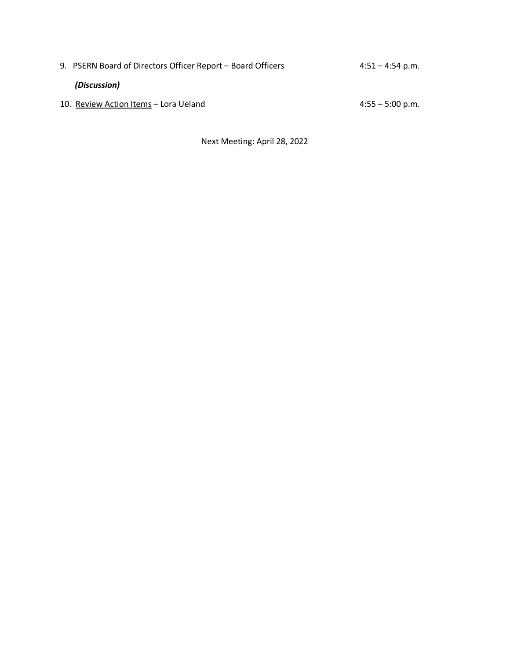| 9. PSERN Board of Directors Officer Report – Board Officers | $4:51 - 4:54$ p.m. |
|-------------------------------------------------------------|--------------------|
| (Discussion)                                                |                    |
| 10. Review Action Items - Lora Ueland                       | $4:55 - 5:00$ p.m. |

Next Meeting: April 28, 2022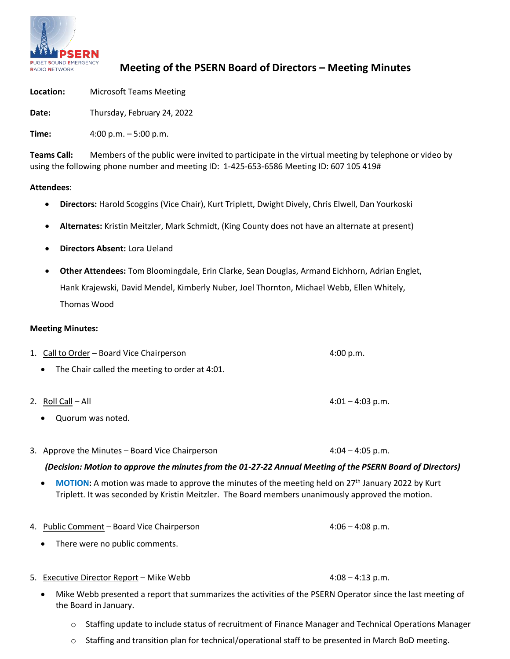

# **Meeting of the PSERN Board of Directors – Meeting Minutes**

**Location:** Microsoft Teams Meeting

**Date:** Thursday, February 24, 2022

**Time:** 4:00 p.m. – 5:00 p.m.

**Teams Call:** Members of the public were invited to participate in the virtual meeting by telephone or video by using the following phone number and meeting ID: 1-425-653-6586 Meeting ID: 607 105 419#

# **Attendees**:

- **Directors:** Harold Scoggins (Vice Chair), Kurt Triplett, Dwight Dively, Chris Elwell, Dan Yourkoski
- **Alternates:** Kristin Meitzler, Mark Schmidt, (King County does not have an alternate at present)
- **Directors Absent:** Lora Ueland
- **Other Attendees:** Tom Bloomingdale, Erin Clarke, Sean Douglas, Armand Eichhorn, Adrian Englet, Hank Krajewski, David Mendel, Kimberly Nuber, Joel Thornton, Michael Webb, Ellen Whitely, Thomas Wood

# **Meeting Minutes:**

- 1. Call to Order Board Vice Chairperson 4:00 p.m.
	- The Chair called the meeting to order at 4:01.
- 2. Roll Call All 4:01 4:03 p.m.
	- Quorum was noted.
- 3. Approve the Minutes Board Vice Chairperson  $4:04 4:05$  p.m.

# *(Decision: Motion to approve the minutesfrom the 01-27-22 Annual Meeting of the PSERN Board of Directors)*

- **MOTION:** A motion was made to approve the minutes of the meeting held on 27th January 2022 by Kurt Triplett. It was seconded by Kristin Meitzler. The Board members unanimously approved the motion.
- 4. Public Comment Board Vice Chairperson 4:06 4:06 4:08 p.m.
	- There were no public comments.
- 5. Executive Director Report Mike Webb 4:08 4:13 p.m.
	- Mike Webb presented a report that summarizes the activities of the PSERN Operator since the last meeting of the Board in January.
		- o Staffing update to include status of recruitment of Finance Manager and Technical Operations Manager
		- o Staffing and transition plan for technical/operational staff to be presented in March BoD meeting.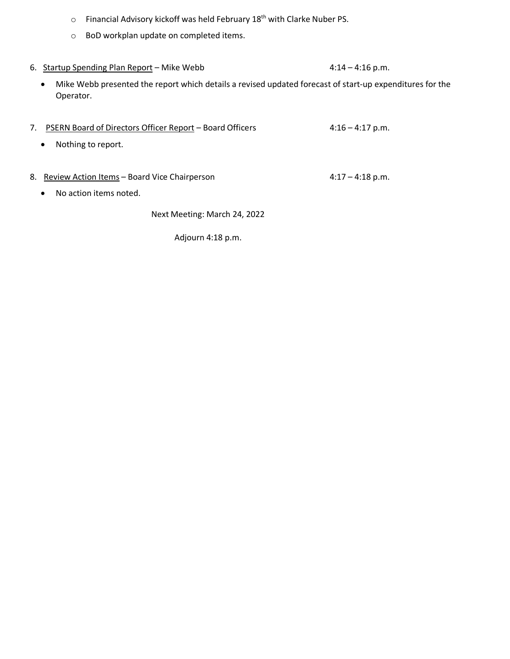- o Financial Advisory kickoff was held February 18th with Clarke Nuber PS.
- o BoD workplan update on completed items.
- 6. Startup Spending Plan Report Mike Webb 4:14 4:16 p.m.
	- Mike Webb presented the report which details a revised updated forecast of start-up expenditures for the Operator.
- 7. PSERN Board of Directors Officer Report Board Officers 4:16 4:17 p.m. • Nothing to report. 8. Review Action Items – Board Vice Chairperson **4:17 – 4:18 p.m.** • No action items noted. Next Meeting: March 24, 2022

Adjourn 4:18 p.m.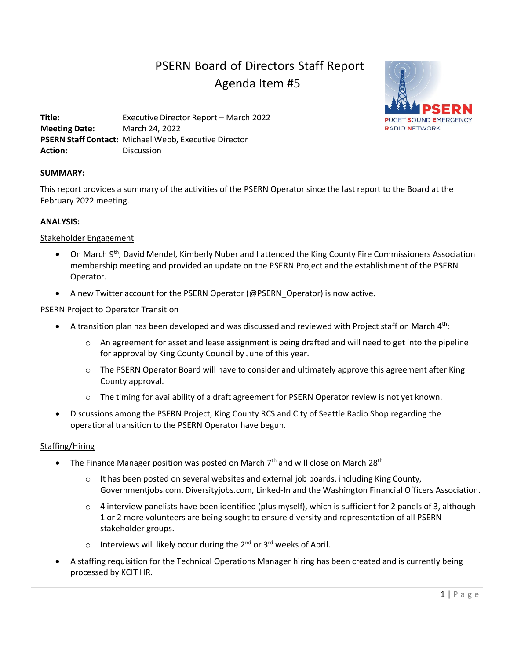# PSERN Board of Directors Staff Report Agenda Item #5



**Title:** Executive Director Report – March 2022 **Meeting Date:** March 24, 2022 **PSERN Staff Contact:** Michael Webb, Executive Director **Action:** Discussion

# **SUMMARY:**

This report provides a summary of the activities of the PSERN Operator since the last report to the Board at the February 2022 meeting.

# **ANALYSIS:**

# Stakeholder Engagement

- On March 9th, David Mendel, Kimberly Nuber and I attended the King County Fire Commissioners Association membership meeting and provided an update on the PSERN Project and the establishment of the PSERN Operator.
- A new Twitter account for the PSERN Operator (@PSERN\_Operator) is now active.

# PSERN Project to Operator Transition

- $\bullet$  A transition plan has been developed and was discussed and reviewed with Project staff on March 4<sup>th</sup>:
	- $\circ$  An agreement for asset and lease assignment is being drafted and will need to get into the pipeline for approval by King County Council by June of this year.
	- o The PSERN Operator Board will have to consider and ultimately approve this agreement after King County approval.
	- o The timing for availability of a draft agreement for PSERN Operator review is not yet known.
- Discussions among the PSERN Project, King County RCS and City of Seattle Radio Shop regarding the operational transition to the PSERN Operator have begun.

# Staffing/Hiring

- The Finance Manager position was posted on March  $7<sup>th</sup>$  and will close on March  $28<sup>th</sup>$ 
	- $\circ$  It has been posted on several websites and external job boards, including King County, Governmentjobs.com, Diversityjobs.com, Linked-In and the Washington Financial Officers Association.
	- $\circ$  4 interview panelists have been identified (plus myself), which is sufficient for 2 panels of 3, although 1 or 2 more volunteers are being sought to ensure diversity and representation of all PSERN stakeholder groups.
	- $\circ$  Interviews will likely occur during the 2<sup>nd</sup> or 3<sup>rd</sup> weeks of April.
- A staffing requisition for the Technical Operations Manager hiring has been created and is currently being processed by KCIT HR.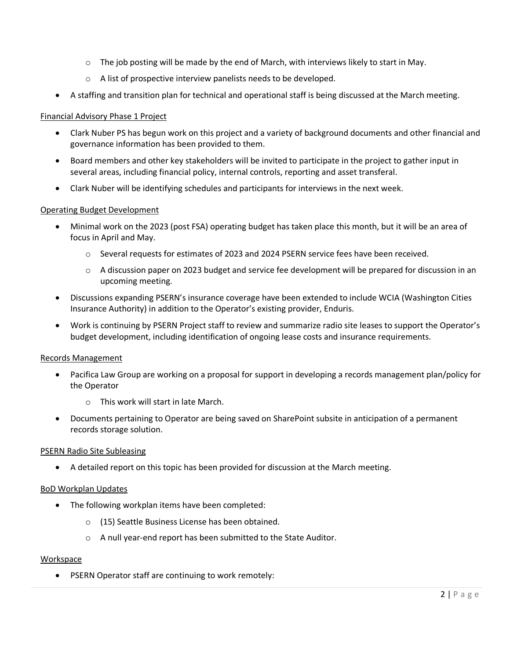- $\circ$  The job posting will be made by the end of March, with interviews likely to start in May.
- o A list of prospective interview panelists needs to be developed.
- A staffing and transition plan for technical and operational staff is being discussed at the March meeting.

# Financial Advisory Phase 1 Project

- Clark Nuber PS has begun work on this project and a variety of background documents and other financial and governance information has been provided to them.
- Board members and other key stakeholders will be invited to participate in the project to gather input in several areas, including financial policy, internal controls, reporting and asset transferal.
- Clark Nuber will be identifying schedules and participants for interviews in the next week.

#### Operating Budget Development

- Minimal work on the 2023 (post FSA) operating budget has taken place this month, but it will be an area of focus in April and May.
	- o Several requests for estimates of 2023 and 2024 PSERN service fees have been received.
	- $\circ$  A discussion paper on 2023 budget and service fee development will be prepared for discussion in an upcoming meeting.
- Discussions expanding PSERN's insurance coverage have been extended to include WCIA (Washington Cities Insurance Authority) in addition to the Operator's existing provider, Enduris.
- Work is continuing by PSERN Project staff to review and summarize radio site leases to support the Operator's budget development, including identification of ongoing lease costs and insurance requirements.

# Records Management

- Pacifica Law Group are working on a proposal for support in developing a records management plan/policy for the Operator
	- o This work will start in late March.
- Documents pertaining to Operator are being saved on SharePoint subsite in anticipation of a permanent records storage solution.

# PSERN Radio Site Subleasing

• A detailed report on this topic has been provided for discussion at the March meeting.

# BoD Workplan Updates

- The following workplan items have been completed:
	- o (15) Seattle Business License has been obtained.
	- o A null year-end report has been submitted to the State Auditor.

# Workspace

• PSERN Operator staff are continuing to work remotely: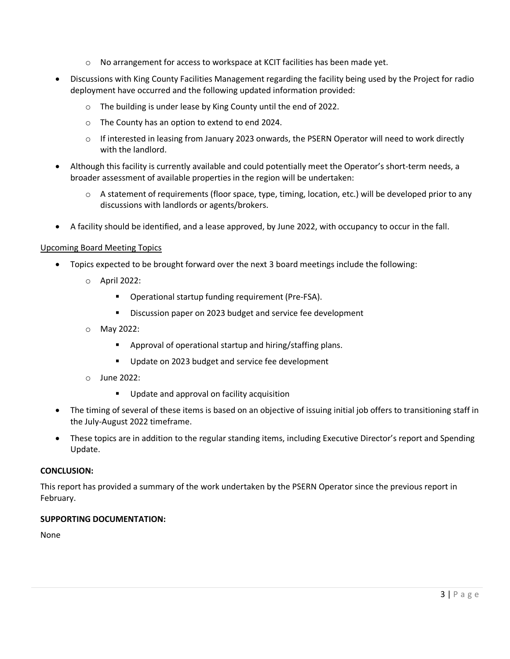- o No arrangement for access to workspace at KCIT facilities has been made yet.
- Discussions with King County Facilities Management regarding the facility being used by the Project for radio deployment have occurred and the following updated information provided:
	- o The building is under lease by King County until the end of 2022.
	- o The County has an option to extend to end 2024.
	- o If interested in leasing from January 2023 onwards, the PSERN Operator will need to work directly with the landlord.
- Although this facility is currently available and could potentially meet the Operator's short-term needs, a broader assessment of available properties in the region will be undertaken:
	- o A statement of requirements (floor space, type, timing, location, etc.) will be developed prior to any discussions with landlords or agents/brokers.
- A facility should be identified, and a lease approved, by June 2022, with occupancy to occur in the fall.

# Upcoming Board Meeting Topics

- Topics expected to be brought forward over the next 3 board meetings include the following:
	- o April 2022:
		- **•** Operational startup funding requirement (Pre-FSA).
		- Discussion paper on 2023 budget and service fee development
	- o May 2022:
		- Approval of operational startup and hiring/staffing plans.
		- Update on 2023 budget and service fee development
	- o June 2022:
		- **Update and approval on facility acquisition**
- The timing of several of these items is based on an objective of issuing initial job offers to transitioning staff in the July-August 2022 timeframe.
- These topics are in addition to the regular standing items, including Executive Director's report and Spending Update.

# **CONCLUSION:**

This report has provided a summary of the work undertaken by the PSERN Operator since the previous report in February.

# **SUPPORTING DOCUMENTATION:**

None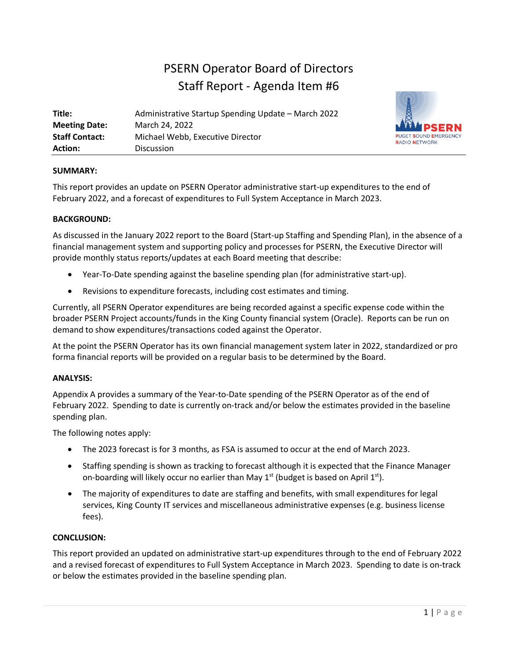# PSERN Operator Board of Directors Staff Report - Agenda Item #6

| Title:                | Administrative Startup Spending Update - March 2022 |
|-----------------------|-----------------------------------------------------|
| <b>Meeting Date:</b>  | March 24, 2022                                      |
| <b>Staff Contact:</b> | Michael Webb, Executive Director                    |
| <b>Action:</b>        | <b>Discussion</b>                                   |



# **SUMMARY:**

This report provides an update on PSERN Operator administrative start-up expenditures to the end of February 2022, and a forecast of expenditures to Full System Acceptance in March 2023.

# **BACKGROUND:**

As discussed in the January 2022 report to the Board (Start-up Staffing and Spending Plan), in the absence of a financial management system and supporting policy and processes for PSERN, the Executive Director will provide monthly status reports/updates at each Board meeting that describe:

- Year-To-Date spending against the baseline spending plan (for administrative start-up).
- Revisions to expenditure forecasts, including cost estimates and timing.

Currently, all PSERN Operator expenditures are being recorded against a specific expense code within the broader PSERN Project accounts/funds in the King County financial system (Oracle). Reports can be run on demand to show expenditures/transactions coded against the Operator.

At the point the PSERN Operator has its own financial management system later in 2022, standardized or pro forma financial reports will be provided on a regular basis to be determined by the Board.

# **ANALYSIS:**

Appendix A provides a summary of the Year-to-Date spending of the PSERN Operator as of the end of February 2022. Spending to date is currently on-track and/or below the estimates provided in the baseline spending plan.

The following notes apply:

- The 2023 forecast is for 3 months, as FSA is assumed to occur at the end of March 2023.
- Staffing spending is shown as tracking to forecast although it is expected that the Finance Manager on-boarding will likely occur no earlier than May  $1<sup>st</sup>$  (budget is based on April  $1<sup>st</sup>$ ).
- The majority of expenditures to date are staffing and benefits, with small expenditures for legal services, King County IT services and miscellaneous administrative expenses (e.g. business license fees).

# **CONCLUSION:**

This report provided an updated on administrative start-up expenditures through to the end of February 2022 and a revised forecast of expenditures to Full System Acceptance in March 2023. Spending to date is on-track or below the estimates provided in the baseline spending plan.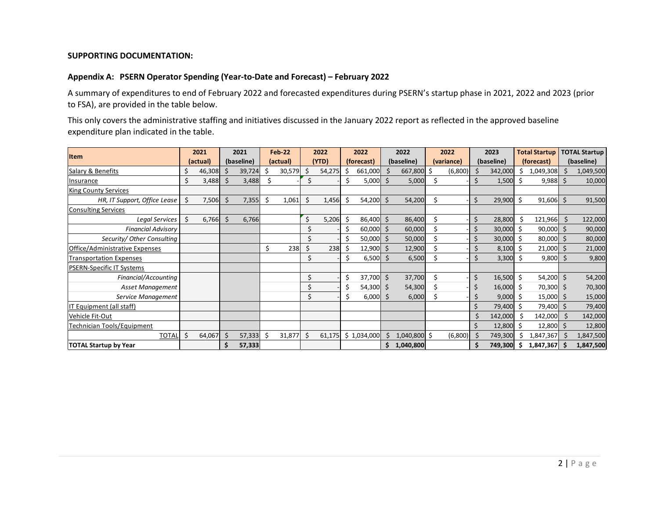#### **SUPPORTING DOCUMENTATION:**

#### **Appendix A: PSERN Operator Spending (Year-to-Date and Forecast) – February 2022**

A summary of expenditures to end of February 2022 and forecasted expenditures during PSERN's startup phase in 2021, 2022 and 2023 (prior to FSA), are provided in the table below.

This only covers the administrative staffing and initiatives discussed in the January 2022 report as reflected in the approved baseline expenditure plan indicated in the table.

| <b>Item</b>                      |    | 2021     |    | 2021       |   | <b>Feb-22</b> |    | 2022   |    | 2022        |              | 2022         |    | 2022                     |    | 2023        |            | <b>Total Startup</b> |            | <b>TOTAL Startup</b> |
|----------------------------------|----|----------|----|------------|---|---------------|----|--------|----|-------------|--------------|--------------|----|--------------------------|----|-------------|------------|----------------------|------------|----------------------|
|                                  |    | (actual) |    | (baseline) |   | (actual)      |    | (YTD)  |    | (forecast)  |              | (baseline)   |    | (baseline)<br>(variance) |    |             | (forecast) |                      | (baseline) |                      |
| Salary & Benefits                | Ś  | 46,308   | Ś  | 39,724     | S | 30,579        | \$ | 54,275 | \$ | 661,000     | \$           | 667,800 \$   |    | (6,800)                  |    | 342,000     | \$         | 1,049,308            |            | 1,049,500            |
| Insurance                        | Ś  | 3,488    | \$ | 3,488      | Ś |               | Ś  |        | \$ | 5,000       | $\zeta$      | 5,000        | Ś  |                          | Ś  | 1,500       | .s         | $9,988$ \$           |            | 10,000               |
| <b>King County Services</b>      |    |          |    |            |   |               |    |        |    |             |              |              |    |                          |    |             |            |                      |            |                      |
| HR, IT Support, Office Lease     | \$ | 7,506    | Ś  | 7,355      | Ś | 1,061         | \$ | 1,456  | Ś  | 54,200      | $\mathsf{S}$ | 54,200       | Ś. |                          | \$ | 29,900      | Ś.         | $91,606$ \$          |            | 91,500               |
| <b>Consulting Services</b>       |    |          |    |            |   |               |    |        |    |             |              |              |    |                          |    |             |            |                      |            |                      |
| Legal Services                   | Ś  | 6,766    | Ś  | 6,766      |   |               | Ś  | 5,206  | Ś  | 86,400      | Ŝ.           | 86,400       | Ś. |                          | Ś  | 28,800      |            | 121,966              | Ŝ.         | 122,000              |
| <b>Financial Advisory</b>        |    |          |    |            |   |               |    |        | \$ | 60,000      | -\$          | 60,000       |    |                          | Ś  | 30,000      | \$         | $90,000$ \$          |            | 90,000               |
| Security/ Other Consulting       |    |          |    |            |   |               | Ś  |        | \$ | 50,000      | -Ś           | 50,000       | Ś  |                          | Ś  | 30,000      | .s         | $80,000$ \$          |            | 80,000               |
| Office/Administrative Expenses   |    |          |    |            | Ś | 238           | Ś  | 238    |    | 12,900      | -Ś           | 12,900       |    |                          | Ś  | 8,100       |            | 21,000               |            | 21,000               |
| <b>Transportation Expenses</b>   |    |          |    |            |   |               | \$ |        | \$ | 6,500       | -Ś           | 6,500        |    |                          | Ś  | 3,300       | -S         | 9,800                |            | 9,800                |
| <b>PSERN-Specific IT Systems</b> |    |          |    |            |   |               |    |        |    |             |              |              |    |                          |    |             |            |                      |            |                      |
| Financial/Accounting             |    |          |    |            |   |               | \$ |        | \$ | 37,700 \$   |              | 37,700       | Ś. |                          | Ś  | 16,500      | Ŝ.         | $54,200$ \$          |            | 54,200               |
| Asset Management                 |    |          |    |            |   |               | \$ |        | \$ | $54,300$ \$ |              | 54,300       | Ś  |                          | Ś  | $16,000$ \$ |            | 70,300 \$            |            | 70,300               |
| Service Management               |    |          |    |            |   |               | Ś  |        | Ś  | 6,000       | \$           | 6,000        |    |                          | Ś  | $9,000$ \$  |            | $15,000$ \$          |            | 15,000               |
| IT Equipment (all staff)         |    |          |    |            |   |               |    |        |    |             |              |              |    |                          | Ś  | 79,400      |            | 79,400 \$            |            | 79,400               |
| Vehicle Fit-Out                  |    |          |    |            |   |               |    |        |    |             |              |              |    |                          | Ś  | 142,000     |            | 142,000              | -Ŝ         | 142,000              |
| Technician Tools/Equipment       |    |          |    |            |   |               |    |        |    |             |              |              |    |                          | Ś  | 12,800      | .S         | 12,800 \$            |            | 12,800               |
| <b>TOTAL</b>                     | Ś  | 64,067   | Ś  | 57,333     | Ś | 31,877        | \$ | 61,175 |    | \$1,034,000 | Ś.           | 1,040,800 \$ |    | (6,800)                  | \$ | 749,300     | \$         | ,847,367             |            | 1,847,500            |
| <b>TOTAL Startup by Year</b>     |    |          |    | 57,333     |   |               |    |        |    |             | \$.          | 1,040,800    |    |                          | Ś  | 749,300     | -S         | 1,847,367            |            | 1,847,500            |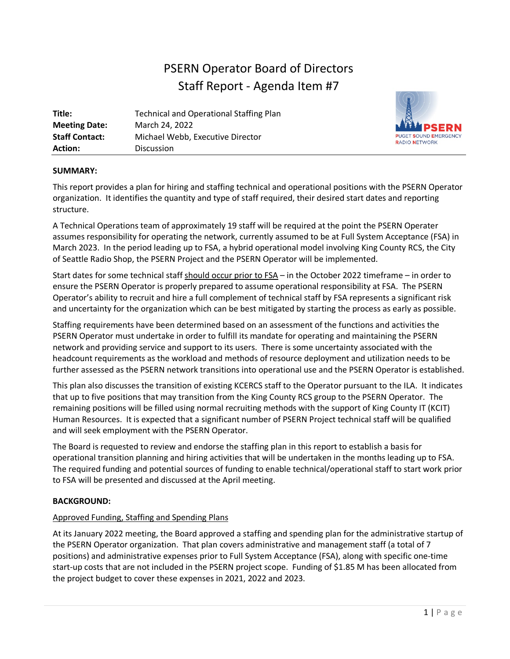# PSERN Operator Board of Directors Staff Report - Agenda Item #7

| Title:                | <b>Technical and Operational Staffing Plan</b> |
|-----------------------|------------------------------------------------|
| <b>Meeting Date:</b>  | March 24, 2022                                 |
| <b>Staff Contact:</b> | Michael Webb, Executive Director               |
| <b>Action:</b>        | <b>Discussion</b>                              |



# **SUMMARY:**

This report provides a plan for hiring and staffing technical and operational positions with the PSERN Operator organization. It identifies the quantity and type of staff required, their desired start dates and reporting structure.

A Technical Operations team of approximately 19 staff will be required at the point the PSERN Operater assumes responsibility for operating the network, currently assumed to be at Full System Acceptance (FSA) in March 2023. In the period leading up to FSA, a hybrid operational model involving King County RCS, the City of Seattle Radio Shop, the PSERN Project and the PSERN Operator will be implemented.

Start dates for some technical staff should occur prior to FSA – in the October 2022 timeframe – in order to ensure the PSERN Operator is properly prepared to assume operational responsibility at FSA. The PSERN Operator's ability to recruit and hire a full complement of technical staff by FSA represents a significant risk and uncertainty for the organization which can be best mitigated by starting the process as early as possible.

Staffing requirements have been determined based on an assessment of the functions and activities the PSERN Operator must undertake in order to fulfill its mandate for operating and maintaining the PSERN network and providing service and support to its users. There is some uncertainty associated with the headcount requirements as the workload and methods of resource deployment and utilization needs to be further assessed as the PSERN network transitions into operational use and the PSERN Operator is established.

This plan also discusses the transition of existing KCERCS staff to the Operator pursuant to the ILA. It indicates that up to five positions that may transition from the King County RCS group to the PSERN Operator. The remaining positions will be filled using normal recruiting methods with the support of King County IT (KCIT) Human Resources. It is expected that a significant number of PSERN Project technical staff will be qualified and will seek employment with the PSERN Operator.

The Board is requested to review and endorse the staffing plan in this report to establish a basis for operational transition planning and hiring activities that will be undertaken in the months leading up to FSA. The required funding and potential sources of funding to enable technical/operational staff to start work prior to FSA will be presented and discussed at the April meeting.

# **BACKGROUND:**

# Approved Funding, Staffing and Spending Plans

At its January 2022 meeting, the Board approved a staffing and spending plan for the administrative startup of the PSERN Operator organization. That plan covers administrative and management staff (a total of 7 positions) and administrative expenses prior to Full System Acceptance (FSA), along with specific one-time start-up costs that are not included in the PSERN project scope. Funding of \$1.85 M has been allocated from the project budget to cover these expenses in 2021, 2022 and 2023.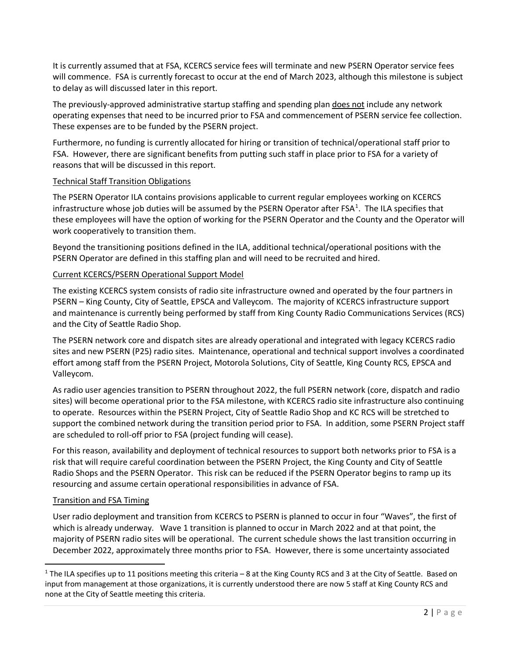It is currently assumed that at FSA, KCERCS service fees will terminate and new PSERN Operator service fees will commence. FSA is currently forecast to occur at the end of March 2023, although this milestone is subject to delay as will discussed later in this report.

The previously-approved administrative startup staffing and spending plan does not include any network operating expenses that need to be incurred prior to FSA and commencement of PSERN service fee collection. These expenses are to be funded by the PSERN project.

Furthermore, no funding is currently allocated for hiring or transition of technical/operational staff prior to FSA. However, there are significant benefits from putting such staff in place prior to FSA for a variety of reasons that will be discussed in this report.

# Technical Staff Transition Obligations

The PSERN Operator ILA contains provisions applicable to current regular employees working on KCERCS infrastructure whose job duties will be assumed by the PSERN Operator after FSA $<sup>1</sup>$  $<sup>1</sup>$  $<sup>1</sup>$ . The ILA specifies that</sup> these employees will have the option of working for the PSERN Operator and the County and the Operator will work cooperatively to transition them.

Beyond the transitioning positions defined in the ILA, additional technical/operational positions with the PSERN Operator are defined in this staffing plan and will need to be recruited and hired.

# Current KCERCS/PSERN Operational Support Model

The existing KCERCS system consists of radio site infrastructure owned and operated by the four partners in PSERN – King County, City of Seattle, EPSCA and Valleycom. The majority of KCERCS infrastructure support and maintenance is currently being performed by staff from King County Radio Communications Services (RCS) and the City of Seattle Radio Shop.

The PSERN network core and dispatch sites are already operational and integrated with legacy KCERCS radio sites and new PSERN (P25) radio sites. Maintenance, operational and technical support involves a coordinated effort among staff from the PSERN Project, Motorola Solutions, City of Seattle, King County RCS, EPSCA and Valleycom.

As radio user agencies transition to PSERN throughout 2022, the full PSERN network (core, dispatch and radio sites) will become operational prior to the FSA milestone, with KCERCS radio site infrastructure also continuing to operate. Resources within the PSERN Project, City of Seattle Radio Shop and KC RCS will be stretched to support the combined network during the transition period prior to FSA. In addition, some PSERN Project staff are scheduled to roll-off prior to FSA (project funding will cease).

For this reason, availability and deployment of technical resources to support both networks prior to FSA is a risk that will require careful coordination between the PSERN Project, the King County and City of Seattle Radio Shops and the PSERN Operator. This risk can be reduced if the PSERN Operator begins to ramp up its resourcing and assume certain operational responsibilities in advance of FSA.

# Transition and FSA Timing

User radio deployment and transition from KCERCS to PSERN is planned to occur in four "Waves", the first of which is already underway. Wave 1 transition is planned to occur in March 2022 and at that point, the majority of PSERN radio sites will be operational. The current schedule shows the last transition occurring in December 2022, approximately three months prior to FSA. However, there is some uncertainty associated

<span id="page-10-0"></span> $1$  The ILA specifies up to 11 positions meeting this criteria – 8 at the King County RCS and 3 at the City of Seattle. Based on input from management at those organizations, it is currently understood there are now 5 staff at King County RCS and none at the City of Seattle meeting this criteria.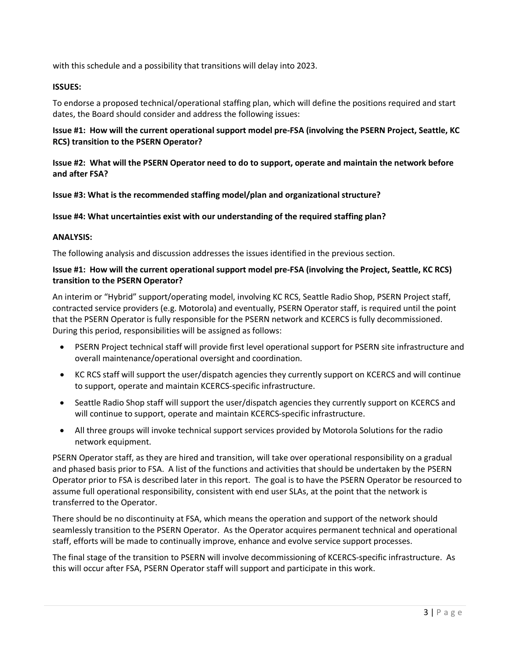with this schedule and a possibility that transitions will delay into 2023.

# **ISSUES:**

To endorse a proposed technical/operational staffing plan, which will define the positions required and start dates, the Board should consider and address the following issues:

# **Issue #1: How will the current operational support model pre-FSA (involving the PSERN Project, Seattle, KC RCS) transition to the PSERN Operator?**

# **Issue #2: What will the PSERN Operator need to do to support, operate and maintain the network before and after FSA?**

# **Issue #3: What is the recommended staffing model/plan and organizational structure?**

# **Issue #4: What uncertainties exist with our understanding of the required staffing plan?**

# **ANALYSIS:**

The following analysis and discussion addresses the issues identified in the previous section.

# **Issue #1: How will the current operational support model pre-FSA (involving the Project, Seattle, KC RCS) transition to the PSERN Operator?**

An interim or "Hybrid" support/operating model, involving KC RCS, Seattle Radio Shop, PSERN Project staff, contracted service providers (e.g. Motorola) and eventually, PSERN Operator staff, is required until the point that the PSERN Operator is fully responsible for the PSERN network and KCERCS is fully decommissioned. During this period, responsibilities will be assigned as follows:

- PSERN Project technical staff will provide first level operational support for PSERN site infrastructure and overall maintenance/operational oversight and coordination.
- KC RCS staff will support the user/dispatch agencies they currently support on KCERCS and will continue to support, operate and maintain KCERCS-specific infrastructure.
- Seattle Radio Shop staff will support the user/dispatch agencies they currently support on KCERCS and will continue to support, operate and maintain KCERCS-specific infrastructure.
- All three groups will invoke technical support services provided by Motorola Solutions for the radio network equipment.

PSERN Operator staff, as they are hired and transition, will take over operational responsibility on a gradual and phased basis prior to FSA. A list of the functions and activities that should be undertaken by the PSERN Operator prior to FSA is described later in this report. The goal is to have the PSERN Operator be resourced to assume full operational responsibility, consistent with end user SLAs, at the point that the network is transferred to the Operator.

There should be no discontinuity at FSA, which means the operation and support of the network should seamlessly transition to the PSERN Operator. As the Operator acquires permanent technical and operational staff, efforts will be made to continually improve, enhance and evolve service support processes.

The final stage of the transition to PSERN will involve decommissioning of KCERCS-specific infrastructure. As this will occur after FSA, PSERN Operator staff will support and participate in this work.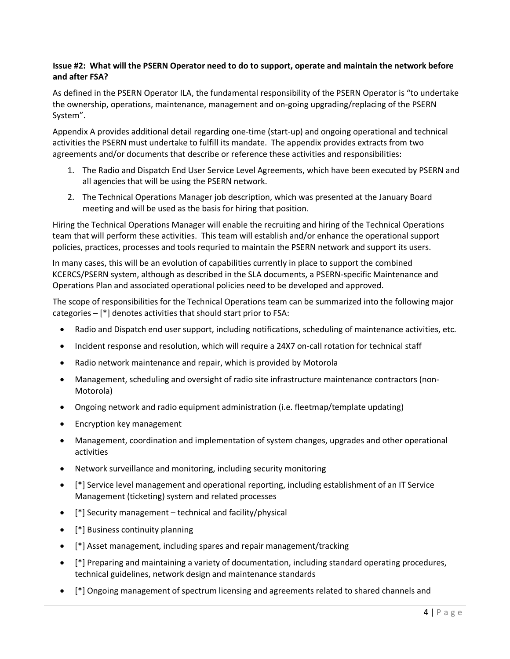# **Issue #2: What will the PSERN Operator need to do to support, operate and maintain the network before and after FSA?**

As defined in the PSERN Operator ILA, the fundamental responsibility of the PSERN Operator is "to undertake the ownership, operations, maintenance, management and on-going upgrading/replacing of the PSERN System".

Appendix A provides additional detail regarding one-time (start-up) and ongoing operational and technical activities the PSERN must undertake to fulfill its mandate. The appendix provides extracts from two agreements and/or documents that describe or reference these activities and responsibilities:

- 1. The Radio and Dispatch End User Service Level Agreements, which have been executed by PSERN and all agencies that will be using the PSERN network.
- 2. The Technical Operations Manager job description, which was presented at the January Board meeting and will be used as the basis for hiring that position.

Hiring the Technical Operations Manager will enable the recruiting and hiring of the Technical Operations team that will perform these activities. This team will establish and/or enhance the operational support policies, practices, processes and tools requried to maintain the PSERN network and support its users.

In many cases, this will be an evolution of capabilities currently in place to support the combined KCERCS/PSERN system, although as described in the SLA documents, a PSERN-specific Maintenance and Operations Plan and associated operational policies need to be developed and approved.

The scope of responsibilities for the Technical Operations team can be summarized into the following major categories – [\*] denotes activities that should start prior to FSA:

- Radio and Dispatch end user support, including notifications, scheduling of maintenance activities, etc.
- Incident response and resolution, which will require a 24X7 on-call rotation for technical staff
- Radio network maintenance and repair, which is provided by Motorola
- Management, scheduling and oversight of radio site infrastructure maintenance contractors (non-Motorola)
- Ongoing network and radio equipment administration (i.e. fleetmap/template updating)
- Encryption key management
- Management, coordination and implementation of system changes, upgrades and other operational activities
- Network surveillance and monitoring, including security monitoring
- [\*] Service level management and operational reporting, including establishment of an IT Service Management (ticketing) system and related processes
- [\*] Security management technical and facility/physical
- [\*] Business continuity planning
- [\*] Asset management, including spares and repair management/tracking
- [\*] Preparing and maintaining a variety of documentation, including standard operating procedures, technical guidelines, network design and maintenance standards
- [\*] Ongoing management of spectrum licensing and agreements related to shared channels and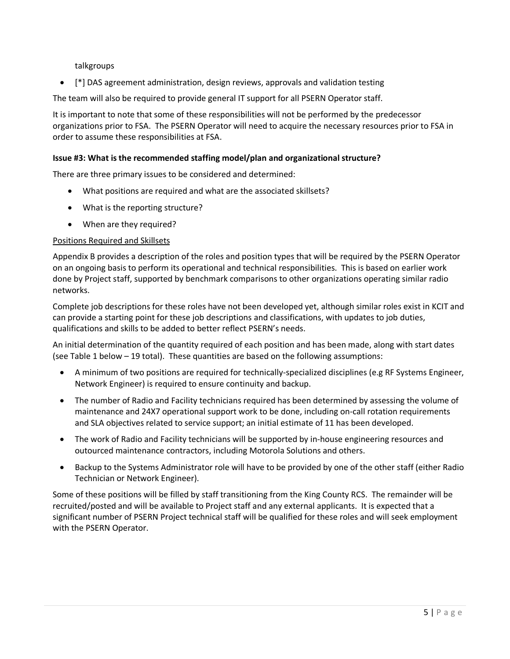talkgroups

• [\*] DAS agreement administration, design reviews, approvals and validation testing

The team will also be required to provide general IT support for all PSERN Operator staff.

It is important to note that some of these responsibilities will not be performed by the predecessor organizations prior to FSA. The PSERN Operator will need to acquire the necessary resources prior to FSA in order to assume these responsibilities at FSA.

# **Issue #3: What is the recommended staffing model/plan and organizational structure?**

There are three primary issues to be considered and determined:

- What positions are required and what are the associated skillsets?
- What is the reporting structure?
- When are they required?

# Positions Required and Skillsets

Appendix B provides a description of the roles and position types that will be required by the PSERN Operator on an ongoing basis to perform its operational and technical responsibilities. This is based on earlier work done by Project staff, supported by benchmark comparisons to other organizations operating similar radio networks.

Complete job descriptions for these roles have not been developed yet, although similar roles exist in KCIT and can provide a starting point for these job descriptions and classifications, with updates to job duties, qualifications and skills to be added to better reflect PSERN's needs.

An initial determination of the quantity required of each position and has been made, along with start dates (see Table 1 below – 19 total). These quantities are based on the following assumptions:

- A minimum of two positions are required for technically-specialized disciplines (e.g RF Systems Engineer, Network Engineer) is required to ensure continuity and backup.
- The number of Radio and Facility technicians required has been determined by assessing the volume of maintenance and 24X7 operational support work to be done, including on-call rotation requirements and SLA objectives related to service support; an initial estimate of 11 has been developed.
- The work of Radio and Facility technicians will be supported by in-house engineering resources and outourced maintenance contractors, including Motorola Solutions and others.
- Backup to the Systems Administrator role will have to be provided by one of the other staff (either Radio Technician or Network Engineer).

Some of these positions will be filled by staff transitioning from the King County RCS. The remainder will be recruited/posted and will be available to Project staff and any external applicants. It is expected that a significant number of PSERN Project technical staff will be qualified for these roles and will seek employment with the PSERN Operator.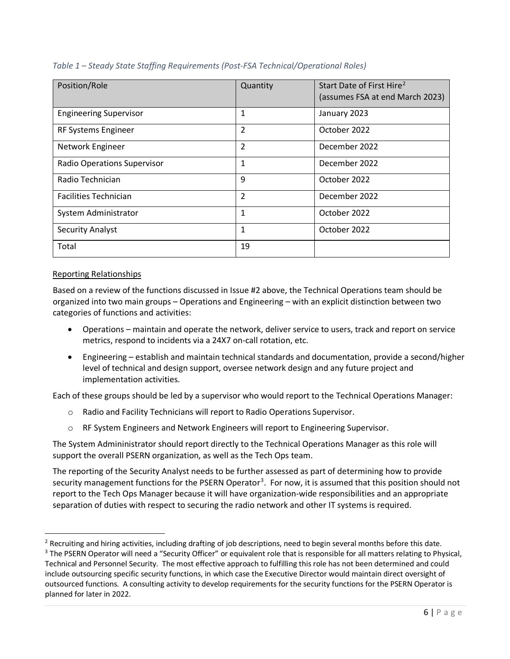| Position/Role                      | Quantity       | Start Date of First Hire <sup>2</sup><br>(assumes FSA at end March 2023) |
|------------------------------------|----------------|--------------------------------------------------------------------------|
| <b>Engineering Supervisor</b>      | 1              | January 2023                                                             |
| RF Systems Engineer                | 2              | October 2022                                                             |
| Network Engineer                   | $\overline{2}$ | December 2022                                                            |
| <b>Radio Operations Supervisor</b> | 1              | December 2022                                                            |
| Radio Technician                   | 9              | October 2022                                                             |
| <b>Facilities Technician</b>       | $\overline{2}$ | December 2022                                                            |
| System Administrator               | $\mathbf{1}$   | October 2022                                                             |
| <b>Security Analyst</b>            | 1              | October 2022                                                             |
| Total                              | 19             |                                                                          |

# *Table 1 – Steady State Staffing Requirements (Post-FSA Technical/Operational Roles)*

# Reporting Relationships

Based on a review of the functions discussed in Issue #2 above, the Technical Operations team should be organized into two main groups – Operations and Engineering – with an explicit distinction between two categories of functions and activities:

- Operations maintain and operate the network, deliver service to users, track and report on service metrics, respond to incidents via a 24X7 on-call rotation, etc.
- Engineering establish and maintain technical standards and documentation, provide a second/higher level of technical and design support, oversee network design and any future project and implementation activities.

Each of these groups should be led by a supervisor who would report to the Technical Operations Manager:

- o Radio and Facility Technicians will report to Radio Operations Supervisor.
- o RF System Engineers and Network Engineers will report to Engineering Supervisor.

The System Admininistrator should report directly to the Technical Operations Manager as this role will support the overall PSERN organization, as well as the Tech Ops team.

The reporting of the Security Analyst needs to be further assessed as part of determining how to provide security management functions for the PSERN Operator<sup>[3](#page-14-1)</sup>. For now, it is assumed that this position should not report to the Tech Ops Manager because it will have organization-wide responsibilities and an appropriate separation of duties with respect to securing the radio network and other IT systems is required.

<span id="page-14-0"></span> $^2$  Recruiting and hiring activities, including drafting of job descriptions, need to begin several months before this date.

<span id="page-14-1"></span><sup>&</sup>lt;sup>3</sup> The PSERN Operator will need a "Security Officer" or equivalent role that is responsible for all matters relating to Physical, Technical and Personnel Security. The most effective approach to fulfilling this role has not been determined and could include outsourcing specific security functions, in which case the Executive Director would maintain direct oversight of outsourced functions. A consulting activity to develop requirements for the security functions for the PSERN Operator is planned for later in 2022.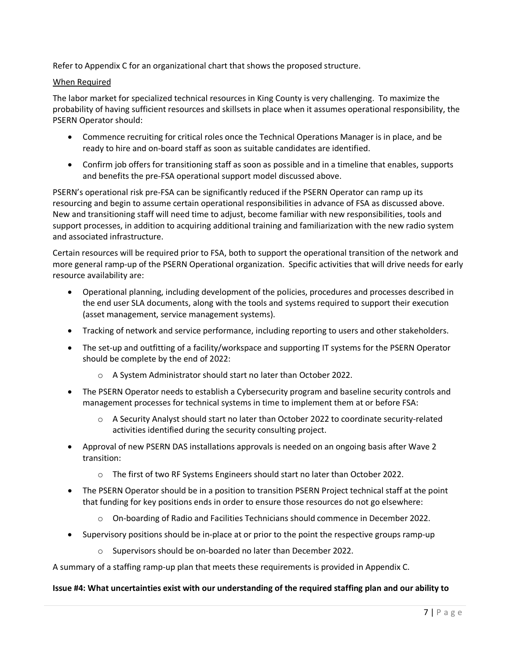Refer to Appendix C for an organizational chart that shows the proposed structure.

# When Required

The labor market for specialized technical resources in King County is very challenging. To maximize the probability of having sufficient resources and skillsets in place when it assumes operational responsibility, the PSERN Operator should:

- Commence recruiting for critical roles once the Technical Operations Manager is in place, and be ready to hire and on-board staff as soon as suitable candidates are identified.
- Confirm job offers for transitioning staff as soon as possible and in a timeline that enables, supports and benefits the pre-FSA operational support model discussed above.

PSERN's operational risk pre-FSA can be significantly reduced if the PSERN Operator can ramp up its resourcing and begin to assume certain operational responsibilities in advance of FSA as discussed above. New and transitioning staff will need time to adjust, become familiar with new responsibilities, tools and support processes, in addition to acquiring additional training and familiarization with the new radio system and associated infrastructure.

Certain resources will be required prior to FSA, both to support the operational transition of the network and more general ramp-up of the PSERN Operational organization. Specific activities that will drive needs for early resource availability are:

- Operational planning, including development of the policies, procedures and processes described in the end user SLA documents, along with the tools and systems required to support their execution (asset management, service management systems).
- Tracking of network and service performance, including reporting to users and other stakeholders.
- The set-up and outfitting of a facility/workspace and supporting IT systems for the PSERN Operator should be complete by the end of 2022:
	- o A System Administrator should start no later than October 2022.
- The PSERN Operator needs to establish a Cybersecurity program and baseline security controls and management processes for technical systems in time to implement them at or before FSA:
	- $\circ$  A Security Analyst should start no later than October 2022 to coordinate security-related activities identified during the security consulting project.
- Approval of new PSERN DAS installations approvals is needed on an ongoing basis after Wave 2 transition:
	- o The first of two RF Systems Engineers should start no later than October 2022.
- The PSERN Operator should be in a position to transition PSERN Project technical staff at the point that funding for key positions ends in order to ensure those resources do not go elsewhere:
	- o On-boarding of Radio and Facilities Technicians should commence in December 2022.
- Supervisory positions should be in-place at or prior to the point the respective groups ramp-up
	- o Supervisors should be on-boarded no later than December 2022.

A summary of a staffing ramp-up plan that meets these requirements is provided in Appendix C.

# **Issue #4: What uncertainties exist with our understanding of the required staffing plan and our ability to**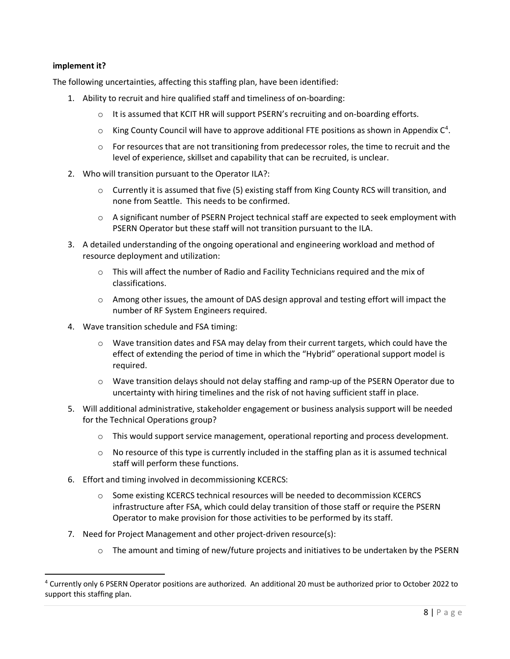# **implement it?**

The following uncertainties, affecting this staffing plan, have been identified:

- 1. Ability to recruit and hire qualified staff and timeliness of on-boarding:
	- $\circ$  It is assumed that KCIT HR will support PSERN's recruiting and on-boarding efforts.
	- $\circ$  King County Council will have to approve additional FTE positions as shown in Appendix  $C^4$  $C^4$ .
	- $\circ$  For resources that are not transitioning from predecessor roles, the time to recruit and the level of experience, skillset and capability that can be recruited, is unclear.
- 2. Who will transition pursuant to the Operator ILA?:
	- $\circ$  Currently it is assumed that five (5) existing staff from King County RCS will transition, and none from Seattle. This needs to be confirmed.
	- $\circ$  A significant number of PSERN Project technical staff are expected to seek employment with PSERN Operator but these staff will not transition pursuant to the ILA.
- 3. A detailed understanding of the ongoing operational and engineering workload and method of resource deployment and utilization:
	- $\circ$  This will affect the number of Radio and Facility Technicians required and the mix of classifications.
	- $\circ$  Among other issues, the amount of DAS design approval and testing effort will impact the number of RF System Engineers required.
- 4. Wave transition schedule and FSA timing:
	- o Wave transition dates and FSA may delay from their current targets, which could have the effect of extending the period of time in which the "Hybrid" operational support model is required.
	- $\circ$  Wave transition delays should not delay staffing and ramp-up of the PSERN Operator due to uncertainty with hiring timelines and the risk of not having sufficient staff in place.
- 5. Will additional administrative, stakeholder engagement or business analysis support will be needed for the Technical Operations group?
	- $\circ$  This would support service management, operational reporting and process development.
	- $\circ$  No resource of this type is currently included in the staffing plan as it is assumed technical staff will perform these functions.
- 6. Effort and timing involved in decommissioning KCERCS:
	- o Some existing KCERCS technical resources will be needed to decommission KCERCS infrastructure after FSA, which could delay transition of those staff or require the PSERN Operator to make provision for those activities to be performed by its staff.
- 7. Need for Project Management and other project-driven resource(s):
	- $\circ$  The amount and timing of new/future projects and initiatives to be undertaken by the PSERN

<span id="page-16-0"></span><sup>4</sup> Currently only 6 PSERN Operator positions are authorized. An additional 20 must be authorized prior to October 2022 to support this staffing plan.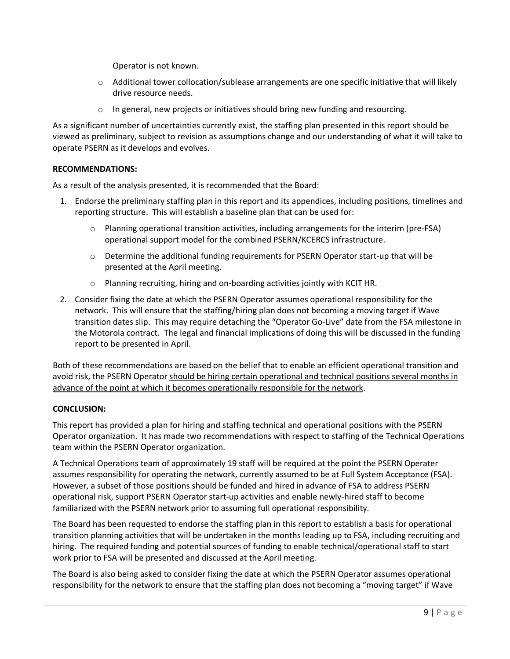Operator is not known.

- $\circ$  Additional tower collocation/sublease arrangements are one specific initiative that will likely drive resource needs.
- o In general, new projects or initiatives should bring new funding and resourcing.

As a significant number of uncertainties currently exist, the staffing plan presented in this report should be viewed as preliminary, subject to revision as assumptions change and our understanding of what it will take to operate PSERN as it develops and evolves.

# **RECOMMENDATIONS:**

As a result of the analysis presented, it is recommended that the Board:

- 1. Endorse the preliminary staffing plan in this report and its appendices, including positions, timelines and reporting structure. This will establish a baseline plan that can be used for:
	- o Planning operational transition activities, including arrangements for the interim (pre-FSA) operational support model for the combined PSERN/KCERCS infrastructure.
	- o Determine the additional funding requirements for PSERN Operator start-up that will be presented at the April meeting.
	- o Planning recruiting, hiring and on-boarding activities jointly with KCIT HR.
- 2. Consider fixing the date at which the PSERN Operator assumes operational responsibility for the network. This will ensure that the staffing/hiring plan does not becoming a moving target if Wave transition dates slip. This may require detaching the "Operator Go-Live" date from the FSA milestone in the Motorola contract. The legal and financial implications of doing this will be discussed in the funding report to be presented in April.

Both of these recommendations are based on the belief that to enable an efficient operational transition and avoid risk, the PSERN Operator should be hiring certain operational and technical positions several months in advance of the point at which it becomes operationally responsible for the network.

# **CONCLUSION:**

This report has provided a plan for hiring and staffing technical and operational positions with the PSERN Operator organization. It has made two recommendations with respect to staffing of the Technical Operations team within the PSERN Operator organization.

A Technical Operations team of approximately 19 staff will be required at the point the PSERN Operater assumes responsibility for operating the network, currently assumed to be at Full System Acceptance (FSA). However, a subset of those positions should be funded and hired in advance of FSA to address PSERN operational risk, support PSERN Operator start-up activities and enable newly-hired staff to become familiarized with the PSERN network prior to assuming full operational responsibility.

The Board has been requested to endorse the staffing plan in this report to establish a basis for operational transition planning activities that will be undertaken in the months leading up to FSA, including recruiting and hiring. The required funding and potential sources of funding to enable technical/operational staff to start work prior to FSA will be presented and discussed at the April meeting.

The Board is also being asked to consider fixing the date at which the PSERN Operator assumes operational responsibility for the network to ensure that the staffing plan does not becoming a "moving target" if Wave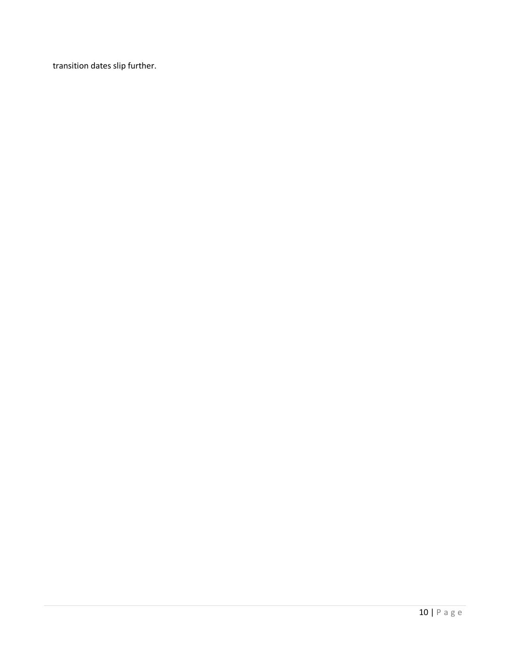transition dates slip further.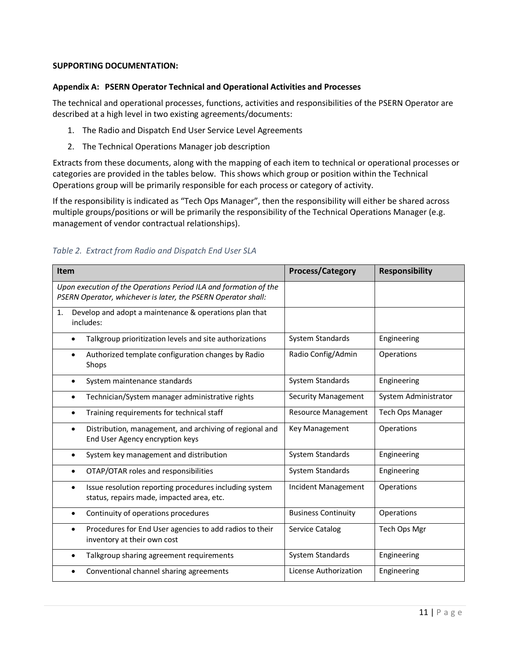# **SUPPORTING DOCUMENTATION:**

# **Appendix A: PSERN Operator Technical and Operational Activities and Processes**

The technical and operational processes, functions, activities and responsibilities of the PSERN Operator are described at a high level in two existing agreements/documents:

- 1. The Radio and Dispatch End User Service Level Agreements
- 2. The Technical Operations Manager job description

Extracts from these documents, along with the mapping of each item to technical or operational processes or categories are provided in the tables below. This shows which group or position within the Technical Operations group will be primarily responsible for each process or category of activity.

If the responsibility is indicated as "Tech Ops Manager", then the responsibility will either be shared across multiple groups/positions or will be primarily the responsibility of the Technical Operations Manager (e.g. management of vendor contractual relationships).

| Item                                                                                                                              | <b>Process/Category</b>    | <b>Responsibility</b>   |
|-----------------------------------------------------------------------------------------------------------------------------------|----------------------------|-------------------------|
| Upon execution of the Operations Period ILA and formation of the<br>PSERN Operator, whichever is later, the PSERN Operator shall: |                            |                         |
| Develop and adopt a maintenance & operations plan that<br>1.<br>includes:                                                         |                            |                         |
| Talkgroup prioritization levels and site authorizations                                                                           | System Standards           | Engineering             |
| Authorized template configuration changes by Radio<br>Shops                                                                       | Radio Config/Admin         | Operations              |
| System maintenance standards                                                                                                      | System Standards           | Engineering             |
| Technician/System manager administrative rights<br>٠                                                                              | <b>Security Management</b> | System Administrator    |
| Training requirements for technical staff                                                                                         | <b>Resource Management</b> | <b>Tech Ops Manager</b> |
| Distribution, management, and archiving of regional and<br>End User Agency encryption keys                                        | Key Management             | Operations              |
| System key management and distribution                                                                                            | System Standards           | Engineering             |
| OTAP/OTAR roles and responsibilities                                                                                              | System Standards           | Engineering             |
| Issue resolution reporting procedures including system<br>status, repairs made, impacted area, etc.                               | Incident Management        | Operations              |
| Continuity of operations procedures                                                                                               | <b>Business Continuity</b> | Operations              |
| Procedures for End User agencies to add radios to their<br>inventory at their own cost                                            | Service Catalog            | Tech Ops Mgr            |
| Talkgroup sharing agreement requirements                                                                                          | System Standards           | Engineering             |
| Conventional channel sharing agreements                                                                                           | License Authorization      | Engineering             |

# *Table 2. Extract from Radio and Dispatch End User SLA*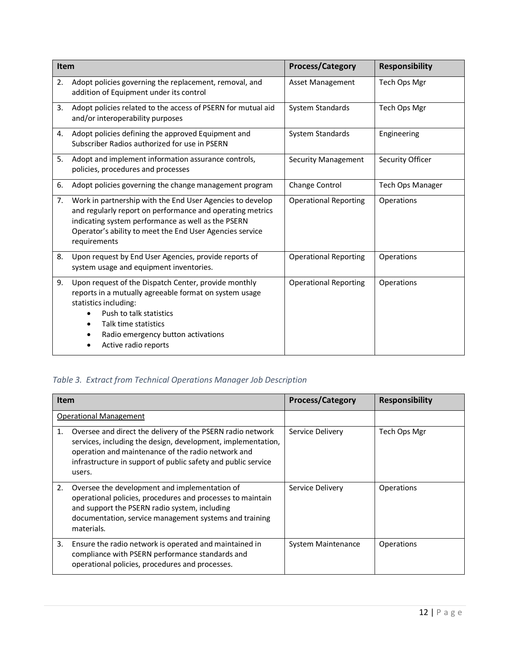| Item |                                                                                                                                                                                                                                                          | <b>Process/Category</b>      | <b>Responsibility</b>   |
|------|----------------------------------------------------------------------------------------------------------------------------------------------------------------------------------------------------------------------------------------------------------|------------------------------|-------------------------|
| 2.   | Adopt policies governing the replacement, removal, and<br>addition of Equipment under its control                                                                                                                                                        | Asset Management             | Tech Ops Mgr            |
| 3.   | Adopt policies related to the access of PSERN for mutual aid<br>and/or interoperability purposes                                                                                                                                                         | System Standards             | Tech Ops Mgr            |
| 4.   | Adopt policies defining the approved Equipment and<br>Subscriber Radios authorized for use in PSERN                                                                                                                                                      | System Standards             | Engineering             |
| 5.   | Adopt and implement information assurance controls,<br>policies, procedures and processes                                                                                                                                                                | <b>Security Management</b>   | Security Officer        |
| 6.   | Adopt policies governing the change management program                                                                                                                                                                                                   | Change Control               | <b>Tech Ops Manager</b> |
| 7.   | Work in partnership with the End User Agencies to develop<br>and regularly report on performance and operating metrics<br>indicating system performance as well as the PSERN<br>Operator's ability to meet the End User Agencies service<br>requirements | <b>Operational Reporting</b> | Operations              |
| 8.   | Upon request by End User Agencies, provide reports of<br>system usage and equipment inventories.                                                                                                                                                         | <b>Operational Reporting</b> | Operations              |
| 9.   | Upon request of the Dispatch Center, provide monthly<br>reports in a mutually agreeable format on system usage<br>statistics including:<br>Push to talk statistics<br>Talk time statistics<br>Radio emergency button activations<br>Active radio reports | <b>Operational Reporting</b> | Operations              |

# *Table 3. Extract from Technical Operations Manager Job Description*

| <b>Item</b>                                                                                                                                                                                                                                                       | <b>Process/Category</b> | <b>Responsibility</b> |
|-------------------------------------------------------------------------------------------------------------------------------------------------------------------------------------------------------------------------------------------------------------------|-------------------------|-----------------------|
| <b>Operational Management</b>                                                                                                                                                                                                                                     |                         |                       |
| Oversee and direct the delivery of the PSERN radio network<br>1.<br>services, including the design, development, implementation,<br>operation and maintenance of the radio network and<br>infrastructure in support of public safety and public service<br>users. | Service Delivery        | Tech Ops Mgr          |
| Oversee the development and implementation of<br>2.<br>operational policies, procedures and processes to maintain<br>and support the PSERN radio system, including<br>documentation, service management systems and training<br>materials.                        | Service Delivery        | Operations            |
| Ensure the radio network is operated and maintained in<br>3.<br>compliance with PSERN performance standards and<br>operational policies, procedures and processes.                                                                                                | System Maintenance      | Operations            |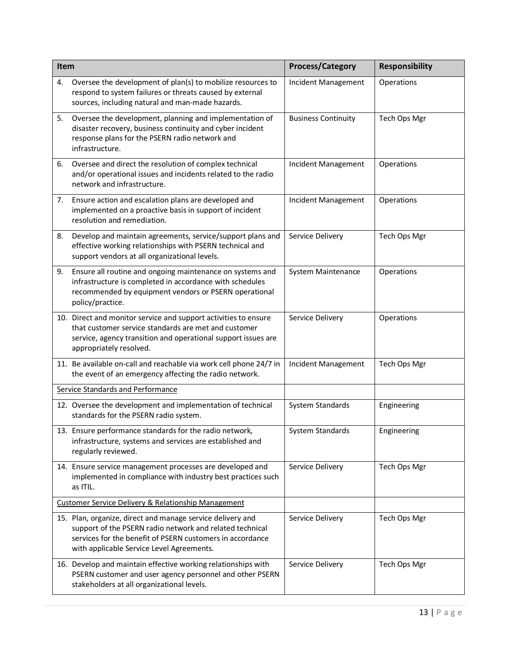| Item |                                                                                                                                                                                                                                  | <b>Process/Category</b>    | <b>Responsibility</b> |
|------|----------------------------------------------------------------------------------------------------------------------------------------------------------------------------------------------------------------------------------|----------------------------|-----------------------|
| 4.   | Oversee the development of plan(s) to mobilize resources to<br>respond to system failures or threats caused by external<br>sources, including natural and man-made hazards.                                                      | Incident Management        | Operations            |
| 5.   | Oversee the development, planning and implementation of<br>disaster recovery, business continuity and cyber incident<br>response plans for the PSERN radio network and<br>infrastructure.                                        | <b>Business Continuity</b> | Tech Ops Mgr          |
| 6.   | Oversee and direct the resolution of complex technical<br>and/or operational issues and incidents related to the radio<br>network and infrastructure.                                                                            | Incident Management        | Operations            |
| 7.   | Ensure action and escalation plans are developed and<br>implemented on a proactive basis in support of incident<br>resolution and remediation.                                                                                   | Incident Management        | Operations            |
| 8.   | Develop and maintain agreements, service/support plans and<br>effective working relationships with PSERN technical and<br>support vendors at all organizational levels.                                                          | Service Delivery           | Tech Ops Mgr          |
| 9.   | Ensure all routine and ongoing maintenance on systems and<br>infrastructure is completed in accordance with schedules<br>recommended by equipment vendors or PSERN operational<br>policy/practice.                               | System Maintenance         | Operations            |
|      | 10. Direct and monitor service and support activities to ensure<br>that customer service standards are met and customer<br>service, agency transition and operational support issues are<br>appropriately resolved.              | Service Delivery           | Operations            |
|      | 11. Be available on-call and reachable via work cell phone 24/7 in<br>the event of an emergency affecting the radio network.                                                                                                     | Incident Management        | Tech Ops Mgr          |
|      | Service Standards and Performance                                                                                                                                                                                                |                            |                       |
|      | 12. Oversee the development and implementation of technical<br>standards for the PSERN radio system.                                                                                                                             | System Standards           | Engineering           |
|      | 13. Ensure performance standards for the radio network.<br>infrastructure, systems and services are established and<br>regularly reviewed.                                                                                       | System Standards           | Engineering           |
|      | 14. Ensure service management processes are developed and<br>implemented in compliance with industry best practices such<br>as ITIL.                                                                                             | Service Delivery           | Tech Ops Mgr          |
|      | Customer Service Delivery & Relationship Management                                                                                                                                                                              |                            |                       |
|      | 15. Plan, organize, direct and manage service delivery and<br>support of the PSERN radio network and related technical<br>services for the benefit of PSERN customers in accordance<br>with applicable Service Level Agreements. | Service Delivery           | Tech Ops Mgr          |
|      | 16. Develop and maintain effective working relationships with<br>PSERN customer and user agency personnel and other PSERN<br>stakeholders at all organizational levels.                                                          | Service Delivery           | Tech Ops Mgr          |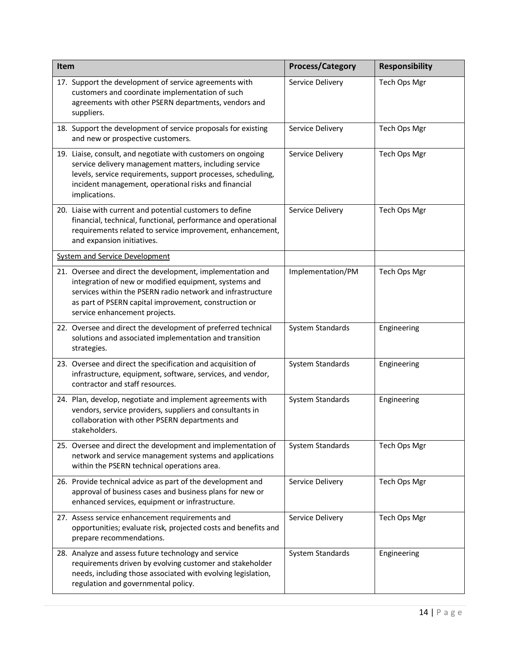| Item                                                                                                                                                                                                                                                                        |                                                               | <b>Process/Category</b> | <b>Responsibility</b> |  |  |
|-----------------------------------------------------------------------------------------------------------------------------------------------------------------------------------------------------------------------------------------------------------------------------|---------------------------------------------------------------|-------------------------|-----------------------|--|--|
| 17. Support the development of service agreements with<br>customers and coordinate implementation of such<br>agreements with other PSERN departments, vendors and<br>suppliers.                                                                                             | Service Delivery                                              | Tech Ops Mgr            |                       |  |  |
| and new or prospective customers.                                                                                                                                                                                                                                           | 18. Support the development of service proposals for existing |                         |                       |  |  |
| 19. Liaise, consult, and negotiate with customers on ongoing<br>service delivery management matters, including service<br>levels, service requirements, support processes, scheduling,<br>incident management, operational risks and financial<br>implications.             |                                                               | Service Delivery        | Tech Ops Mgr          |  |  |
| 20. Liaise with current and potential customers to define<br>financial, technical, functional, performance and operational<br>requirements related to service improvement, enhancement,<br>and expansion initiatives.                                                       | Service Delivery                                              | Tech Ops Mgr            |                       |  |  |
| <b>System and Service Development</b>                                                                                                                                                                                                                                       |                                                               |                         |                       |  |  |
| 21. Oversee and direct the development, implementation and<br>integration of new or modified equipment, systems and<br>services within the PSERN radio network and infrastructure<br>as part of PSERN capital improvement, construction or<br>service enhancement projects. |                                                               | Implementation/PM       | Tech Ops Mgr          |  |  |
| 22. Oversee and direct the development of preferred technical<br>solutions and associated implementation and transition<br>strategies.                                                                                                                                      |                                                               | System Standards        | Engineering           |  |  |
| 23. Oversee and direct the specification and acquisition of<br>infrastructure, equipment, software, services, and vendor,<br>contractor and staff resources.                                                                                                                |                                                               | System Standards        | Engineering           |  |  |
| 24. Plan, develop, negotiate and implement agreements with<br>vendors, service providers, suppliers and consultants in<br>collaboration with other PSERN departments and<br>stakeholders.                                                                                   |                                                               | System Standards        | Engineering           |  |  |
| 25. Oversee and direct the development and implementation of<br>network and service management systems and applications<br>within the PSERN technical operations area.                                                                                                      |                                                               | System Standards        | Tech Ops Mgr          |  |  |
| 26. Provide technical advice as part of the development and<br>approval of business cases and business plans for new or<br>enhanced services, equipment or infrastructure.                                                                                                  |                                                               | Service Delivery        | Tech Ops Mgr          |  |  |
| 27. Assess service enhancement requirements and<br>opportunities; evaluate risk, projected costs and benefits and<br>prepare recommendations.                                                                                                                               |                                                               | Service Delivery        | Tech Ops Mgr          |  |  |
| 28. Analyze and assess future technology and service<br>requirements driven by evolving customer and stakeholder<br>needs, including those associated with evolving legislation,<br>regulation and governmental policy.                                                     |                                                               | System Standards        | Engineering           |  |  |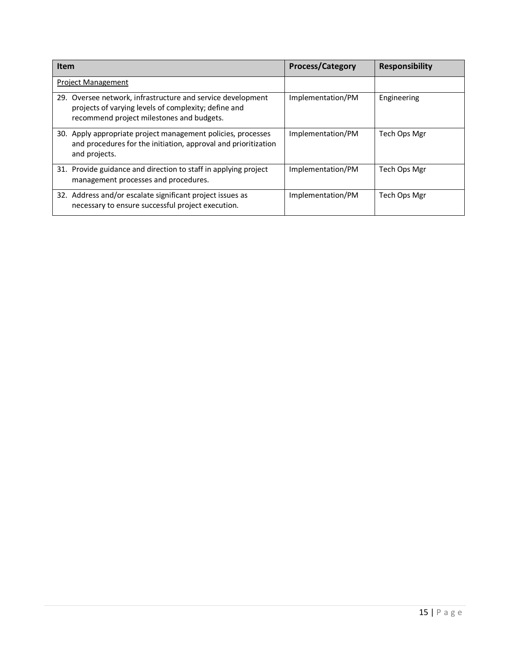| <b>Item</b>                                                                                                                                                      | <b>Process/Category</b> | <b>Responsibility</b> |  |  |
|------------------------------------------------------------------------------------------------------------------------------------------------------------------|-------------------------|-----------------------|--|--|
| <b>Project Management</b>                                                                                                                                        |                         |                       |  |  |
| 29. Oversee network, infrastructure and service development<br>projects of varying levels of complexity; define and<br>recommend project milestones and budgets. | Implementation/PM       | Engineering           |  |  |
| 30. Apply appropriate project management policies, processes<br>and procedures for the initiation, approval and prioritization<br>and projects.                  | Implementation/PM       | Tech Ops Mgr          |  |  |
| 31. Provide guidance and direction to staff in applying project<br>management processes and procedures.                                                          | Implementation/PM       | Tech Ops Mgr          |  |  |
| 32. Address and/or escalate significant project issues as<br>necessary to ensure successful project execution.                                                   | Implementation/PM       | Tech Ops Mgr          |  |  |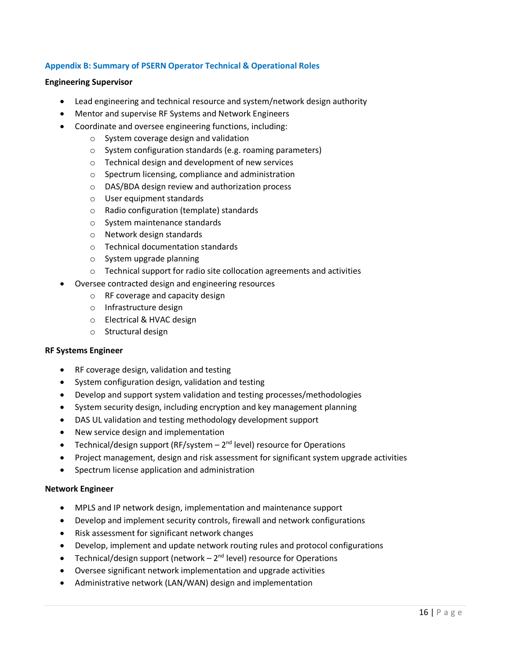# **Appendix B: Summary of PSERN Operator Technical & Operational Roles**

#### **Engineering Supervisor**

- Lead engineering and technical resource and system/network design authority
- Mentor and supervise RF Systems and Network Engineers
- Coordinate and oversee engineering functions, including:
	- o System coverage design and validation
	- o System configuration standards (e.g. roaming parameters)
	- o Technical design and development of new services
	- o Spectrum licensing, compliance and administration
	- o DAS/BDA design review and authorization process
	- o User equipment standards
	- o Radio configuration (template) standards
	- o System maintenance standards
	- o Network design standards
	- o Technical documentation standards
	- o System upgrade planning
	- o Technical support for radio site collocation agreements and activities
- Oversee contracted design and engineering resources
	- o RF coverage and capacity design
	- o Infrastructure design
	- o Electrical & HVAC design
	- o Structural design

#### **RF Systems Engineer**

- RF coverage design, validation and testing
- System configuration design, validation and testing
- Develop and support system validation and testing processes/methodologies
- System security design, including encryption and key management planning
- DAS UL validation and testing methodology development support
- New service design and implementation
- Technical/design support (RF/system  $-2^{nd}$  level) resource for Operations
- Project management, design and risk assessment for significant system upgrade activities
- Spectrum license application and administration

#### **Network Engineer**

- MPLS and IP network design, implementation and maintenance support
- Develop and implement security controls, firewall and network configurations
- Risk assessment for significant network changes
- Develop, implement and update network routing rules and protocol configurations
- Technical/design support (network  $-2<sup>nd</sup>$  level) resource for Operations
- Oversee significant network implementation and upgrade activities
- Administrative network (LAN/WAN) design and implementation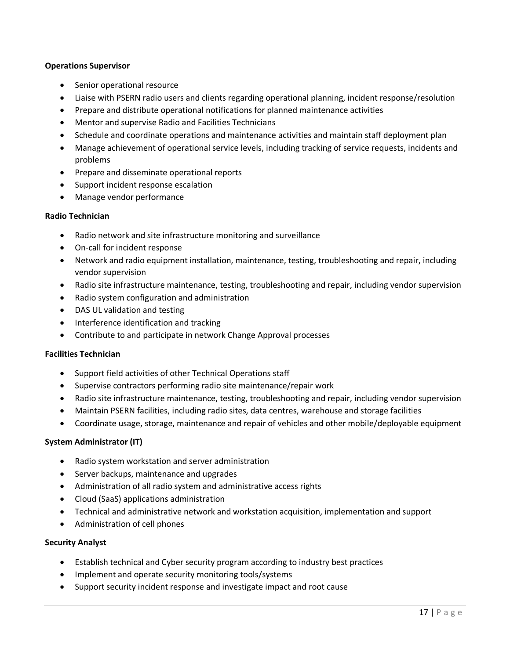#### **Operations Supervisor**

- Senior operational resource
- Liaise with PSERN radio users and clients regarding operational planning, incident response/resolution
- Prepare and distribute operational notifications for planned maintenance activities
- Mentor and supervise Radio and Facilities Technicians
- Schedule and coordinate operations and maintenance activities and maintain staff deployment plan
- Manage achievement of operational service levels, including tracking of service requests, incidents and problems
- Prepare and disseminate operational reports
- Support incident response escalation
- Manage vendor performance

# **Radio Technician**

- Radio network and site infrastructure monitoring and surveillance
- On-call for incident response
- Network and radio equipment installation, maintenance, testing, troubleshooting and repair, including vendor supervision
- Radio site infrastructure maintenance, testing, troubleshooting and repair, including vendor supervision
- Radio system configuration and administration
- DAS UL validation and testing
- Interference identification and tracking
- Contribute to and participate in network Change Approval processes

# **Facilities Technician**

- Support field activities of other Technical Operations staff
- Supervise contractors performing radio site maintenance/repair work
- Radio site infrastructure maintenance, testing, troubleshooting and repair, including vendor supervision
- Maintain PSERN facilities, including radio sites, data centres, warehouse and storage facilities
- Coordinate usage, storage, maintenance and repair of vehicles and other mobile/deployable equipment

# **System Administrator (IT)**

- Radio system workstation and server administration
- Server backups, maintenance and upgrades
- Administration of all radio system and administrative access rights
- Cloud (SaaS) applications administration
- Technical and administrative network and workstation acquisition, implementation and support
- Administration of cell phones

# **Security Analyst**

- Establish technical and Cyber security program according to industry best practices
- Implement and operate security monitoring tools/systems
- Support security incident response and investigate impact and root cause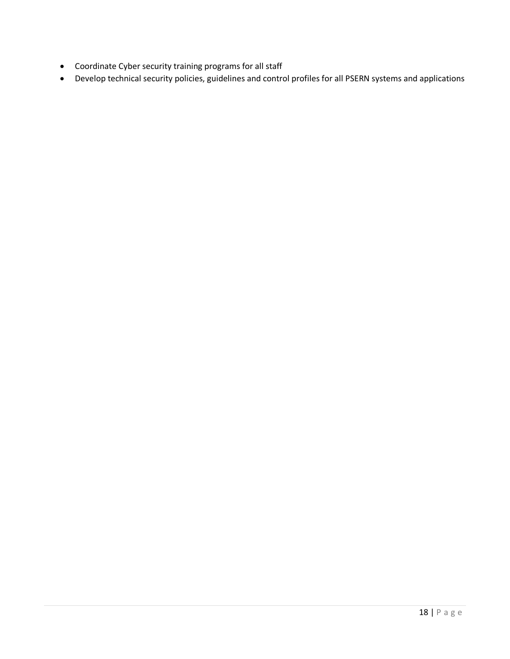- Coordinate Cyber security training programs for all staff
- Develop technical security policies, guidelines and control profiles for all PSERN systems and applications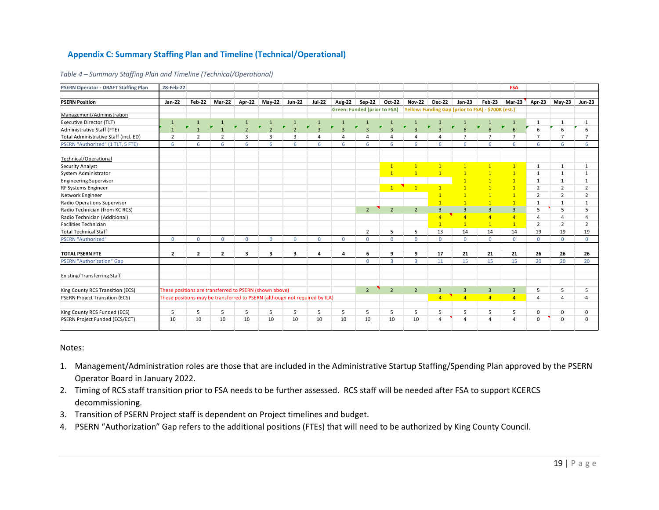# **Appendix C: Summary Staffing Plan and Timeline (Technical/Operational)**

| <b>PSERN Operator - DRAFT Staffing Plan</b> | 28-Feb-22                                                                  |                              |                              |                              |                         |                              |                                       |                                     |                                       |                           |                                       |                |                                                    |                                | FSA                                 |                |                |                |
|---------------------------------------------|----------------------------------------------------------------------------|------------------------------|------------------------------|------------------------------|-------------------------|------------------------------|---------------------------------------|-------------------------------------|---------------------------------------|---------------------------|---------------------------------------|----------------|----------------------------------------------------|--------------------------------|-------------------------------------|----------------|----------------|----------------|
|                                             |                                                                            |                              |                              |                              |                         |                              |                                       |                                     |                                       |                           |                                       |                |                                                    |                                |                                     |                |                |                |
| <b>PSERN Position</b>                       | Jan-22                                                                     | <b>Feb-22</b>                | <b>Mar-22</b>                | Apr-22                       | May-22                  | <b>Jun-22</b>                | <b>Jul-22</b>                         | Aug-22                              | Sep-22                                | Oct-22                    | <b>Nov-22</b>                         | <b>Dec-22</b>  | Jan-23                                             | Feb-23                         | Mar-23                              | Apr-23         | $May-23$       | <b>Jun-23</b>  |
|                                             |                                                                            |                              |                              |                              |                         |                              |                                       |                                     | <b>Green: Funded (prior to FSA)</b>   |                           |                                       |                | Yellow: Funding Gap (prior to FSA) - \$700K (est.) |                                |                                     |                |                |                |
| Management/Administration                   |                                                                            |                              |                              |                              |                         |                              |                                       |                                     |                                       |                           |                                       |                |                                                    |                                |                                     |                |                |                |
| Executive Director (TLT)                    | $\mathbf{1}$                                                               | $\mathbf{1}$<br>$\mathbf{r}$ | $\mathbf{1}$<br>$\mathbf{r}$ | $\mathbf{1}$<br>$\mathbf{r}$ | $\mathbf{1}$<br>У.      | $\mathbf{1}$<br>$\mathbf{r}$ | $\mathbf{1}$<br>$\blacktriangleright$ | $\mathbf{1}$<br>$\pmb{\mathcal{F}}$ | $\mathbf{1}$<br>$\blacktriangleright$ | $\mathbf{1}$<br>$\pmb{r}$ | $\mathbf{1}$<br>$\blacktriangleright$ | $\pmb{\nabla}$ | $\mathbf{1}$<br>$\mathbf{r}$                       | $\mathbf{1}$<br>$\pmb{\nabla}$ | $\mathbf{1}$<br>$\pmb{\mathcal{F}}$ | 1              | $\mathbf{1}$   | 1              |
| Administrative Staff (FTE)                  |                                                                            |                              |                              | $\overline{\phantom{0}}$     | $\overline{\mathbf{z}}$ | $\overline{2}$               | $\overline{3}$                        | $\overline{3}$                      | $\overline{3}$                        | $\overline{3}$            | $\overline{\mathbf{3}}$               | $\overline{a}$ | $6\overline{6}$                                    |                                | $6\overline{6}$                     | 6              | 6              | 6              |
| Total Administrative Staff (incl. ED)       | $\overline{2}$                                                             | $\overline{2}$               | $\overline{2}$               | 3                            | $\overline{3}$          | $\overline{3}$               | 4                                     | $\overline{4}$                      | 4                                     | $\overline{4}$            | $\overline{a}$                        | 4              | $\overline{7}$                                     | $\overline{7}$                 | $\overline{7}$                      | $\overline{7}$ | $\overline{7}$ | $\overline{ }$ |
| PSERN "Authorized" (1 TLT, 5 FTE)           | 6                                                                          | 6                            | 6                            | 6                            | 6                       | 6                            | 6                                     | 6                                   | 6                                     | 6                         | 6                                     | 6              | 6                                                  | 6                              | 6                                   | 6              | 6              | 6              |
| Technical/Operational                       |                                                                            |                              |                              |                              |                         |                              |                                       |                                     |                                       |                           |                                       |                |                                                    |                                |                                     |                |                |                |
| Security Analyst                            |                                                                            |                              |                              |                              |                         |                              |                                       |                                     |                                       | $\mathbf{1}$              | $\overline{1}$                        | $\mathbf{1}$   | $\mathbf{1}$                                       | $\overline{1}$                 | $\mathbf{1}$                        | 1              | 1              |                |
| System Administrator                        |                                                                            |                              |                              |                              |                         |                              |                                       |                                     |                                       | $\mathbf{1}$              | $\overline{1}$                        | $\overline{1}$ | $\mathbf{1}$                                       | $\overline{1}$                 | $\mathbf{1}$                        | 1              | $\mathbf{1}$   | $\mathbf{1}$   |
| <b>Engineering Supervisor</b>               |                                                                            |                              |                              |                              |                         |                              |                                       |                                     |                                       |                           |                                       |                | $\mathbf{1}$                                       | $\overline{1}$                 | $\mathbf{1}$                        | 1              | 1              | $\mathbf{1}$   |
| RF Systems Engineer                         |                                                                            |                              |                              |                              |                         |                              |                                       |                                     |                                       | 1                         | $\mathbf{1}$                          |                | $\overline{1}$                                     | $\overline{1}$                 | $\mathbf{1}$                        | $\overline{2}$ | $\overline{2}$ | $\overline{2}$ |
| Network Engineer                            |                                                                            |                              |                              |                              |                         |                              |                                       |                                     |                                       |                           |                                       |                | $\overline{1}$                                     | $\overline{1}$                 | $\overline{1}$                      | $\overline{2}$ | $\overline{2}$ | $\overline{2}$ |
| Radio Operations Supervisor                 |                                                                            |                              |                              |                              |                         |                              |                                       |                                     |                                       |                           |                                       | $\mathbf{1}$   | $\mathbf{1}$                                       | $\overline{1}$                 | $\mathbf{1}$                        | $\mathbf{1}$   | $\mathbf{1}$   | $\mathbf{1}$   |
| Radio Technician (from KC RCS)              |                                                                            |                              |                              |                              |                         |                              |                                       |                                     | 2                                     | $\overline{2}$            | $\overline{2}$                        | $\overline{3}$ | $\overline{3}$                                     | $\overline{3}$                 | $\overline{3}$                      | 5              | 5              |                |
| Radio Technician (Additional)               |                                                                            |                              |                              |                              |                         |                              |                                       |                                     |                                       |                           |                                       | $\overline{A}$ | $\overline{4}$                                     | $\overline{4}$                 | $\overline{4}$                      | $\overline{a}$ | 4              |                |
| Facilities Technician                       |                                                                            |                              |                              |                              |                         |                              |                                       |                                     |                                       |                           |                                       | $\overline{1}$ | $\mathbf{1}$                                       | $\overline{1}$                 | 1                                   | $\overline{2}$ | $\overline{2}$ | $\overline{2}$ |
| <b>Total Technical Staff</b>                |                                                                            |                              |                              |                              |                         |                              |                                       |                                     | $\overline{2}$                        | 5                         | 5                                     | 13             | 14                                                 | 14                             | 14                                  | 19             | 19             | 19             |
| <b>PSERN "Authorized"</b>                   | $\Omega$                                                                   | $\Omega$                     | $\Omega$                     | $\mathbf{0}$                 | $\Omega$                | $\Omega$                     | $\Omega$                              | $\Omega$                            | $\Omega$                              | $\mathbf{0}$              | $\Omega$                              | $\Omega$       | $\mathbf{0}$                                       | $\Omega$                       | $\Omega$                            | $\Omega$       | $\Omega$       | $\Omega$       |
| <b>TOTAL PSERN FTE</b>                      | $\overline{2}$                                                             | $\overline{2}$               | $\overline{2}$               | 3                            | $\overline{\mathbf{3}}$ | 3                            | 4                                     | 4                                   | 6                                     | 9                         | 9                                     | 17             | 21                                                 | 21                             | 21                                  | 26             | 26             | 26             |
| <b>PSERN "Authorization" Gap</b>            |                                                                            |                              |                              |                              |                         |                              |                                       |                                     | $\mathbf{0}$                          | $\overline{3}$            | 3                                     | 11             | 15                                                 | 15                             | 15                                  | 20             | 20             | 20             |
| <b>Existing/Transferring Staff</b>          |                                                                            |                              |                              |                              |                         |                              |                                       |                                     |                                       |                           |                                       |                |                                                    |                                |                                     |                |                |                |
| King County RCS Transition (ECS)            | These positions are transferred to PSERN (shown above)                     |                              |                              |                              |                         |                              |                                       |                                     | $\overline{2}$                        | $\overline{2}$            | $\overline{2}$                        | $\overline{3}$ | $\overline{\mathbf{3}}$                            | $\overline{3}$                 | $\overline{3}$                      | 5              | 5              | 5              |
| <b>PSERN Project Transition (ECS)</b>       | These positions may be transferred to PSERN (although not required by ILA) |                              |                              |                              |                         |                              |                                       |                                     |                                       |                           |                                       | $\overline{4}$ | $\overline{4}$                                     | $\overline{4}$                 | 4 <sup>1</sup>                      | $\overline{4}$ | $\overline{4}$ | $\Lambda$      |
|                                             |                                                                            |                              |                              |                              |                         |                              |                                       |                                     |                                       |                           |                                       |                |                                                    |                                |                                     |                |                |                |
| King County RCS Funded (ECS)                | 5                                                                          | 5                            | 5                            | 5                            | 5                       | 5                            | 5                                     | 5                                   | 5                                     | 5                         | 5                                     | 5              | 5                                                  | 5                              | 5                                   | $\mathbf 0$    | $\mathbf 0$    | $\Omega$       |
| PSERN Project Funded (ECS/ECT)              | 10                                                                         | 10                           | 10                           | 10                           | 10                      | 10                           | 10                                    | 10                                  | 10                                    | 10                        | 10                                    | 4              | 4                                                  | $\overline{4}$                 | 4                                   | $\mathbf 0$    | $\mathbf 0$    | $\Omega$       |

*Table 4 – Summary Staffing Plan and Timeline (Technical/Operational)*

#### Notes:

- 1. Management/Administration roles are those that are included in the Administrative Startup Staffing/Spending Plan approved by the PSERN Operator Board in January 2022.
- 2. Timing of RCS staff transition prior to FSA needs to be further assessed. RCS staff will be needed after FSA to support KCERCS decommissioning.
- 3. Transition of PSERN Project staff is dependent on Project timelines and budget.
- 4. PSERN "Authorization" Gap refers to the additional positions (FTEs) that will need to be authorized by King County Council.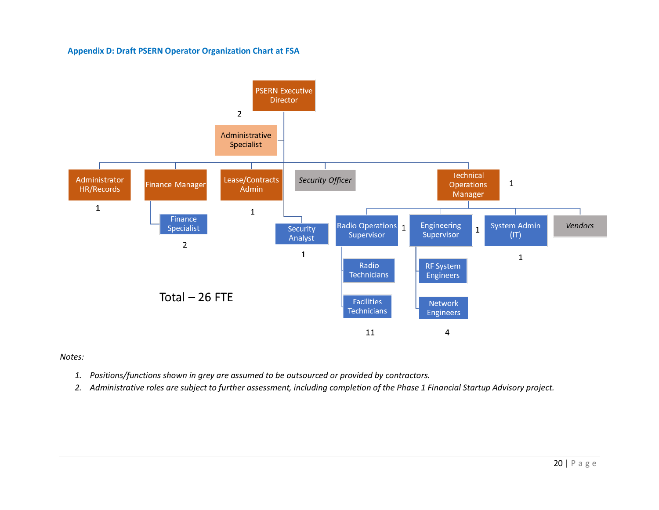#### **Appendix D: Draft PSERN Operator Organization Chart at FSA**



#### *Notes:*

- *1. Positions/functions shown in grey are assumed to be outsourced or provided by contractors.*
- *2. Administrative roles are subject to further assessment, including completion of the Phase 1 Financial Startup Advisory project.*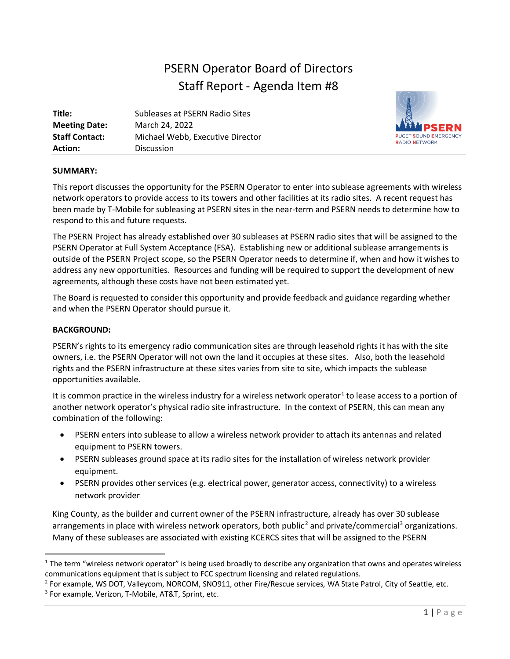# PSERN Operator Board of Directors Staff Report - Agenda Item #8

| Title:                | Subleases at PSERN Radio Sites   |
|-----------------------|----------------------------------|
| <b>Meeting Date:</b>  | March 24, 2022                   |
| <b>Staff Contact:</b> | Michael Webb, Executive Director |
| <b>Action:</b>        | <b>Discussion</b>                |



# **SUMMARY:**

This report discusses the opportunity for the PSERN Operator to enter into sublease agreements with wireless network operators to provide access to its towers and other facilities at its radio sites. A recent request has been made by T-Mobile for subleasing at PSERN sites in the near-term and PSERN needs to determine how to respond to this and future requests.

The PSERN Project has already established over 30 subleases at PSERN radio sites that will be assigned to the PSERN Operator at Full System Acceptance (FSA). Establishing new or additional sublease arrangements is outside of the PSERN Project scope, so the PSERN Operator needs to determine if, when and how it wishes to address any new opportunities. Resources and funding will be required to support the development of new agreements, although these costs have not been estimated yet.

The Board is requested to consider this opportunity and provide feedback and guidance regarding whether and when the PSERN Operator should pursue it.

# **BACKGROUND:**

PSERN's rights to its emergency radio communication sites are through leasehold rights it has with the site owners, i.e. the PSERN Operator will not own the land it occupies at these sites. Also, both the leasehold rights and the PSERN infrastructure at these sites varies from site to site, which impacts the sublease opportunities available.

It is common practice in the wireless industry for a wireless network operator<sup>[1](#page-29-0)</sup> to lease access to a portion of another network operator's physical radio site infrastructure. In the context of PSERN, this can mean any combination of the following:

- PSERN enters into sublease to allow a wireless network provider to attach its antennas and related equipment to PSERN towers.
- PSERN subleases ground space at its radio sites for the installation of wireless network provider equipment.
- PSERN provides other services (e.g. electrical power, generator access, connectivity) to a wireless network provider

King County, as the builder and current owner of the PSERN infrastructure, already has over 30 sublease arrangements in place with wireless network operators, both public<sup>[2](#page-29-1)</sup> and private/commercial<sup>[3](#page-29-2)</sup> organizations. Many of these subleases are associated with existing KCERCS sites that will be assigned to the PSERN

<span id="page-29-0"></span><sup>&</sup>lt;sup>1</sup> The term "wireless network operator" is being used broadly to describe any organization that owns and operates wireless communications equipment that is subject to FCC spectrum licensing and related regulations.

<span id="page-29-2"></span><span id="page-29-1"></span><sup>&</sup>lt;sup>2</sup> For example, WS DOT, Valleycom, NORCOM, SNO911, other Fire/Rescue services, WA State Patrol, City of Seattle, etc. <sup>3</sup> For example, Verizon, T-Mobile, AT&T, Sprint, etc.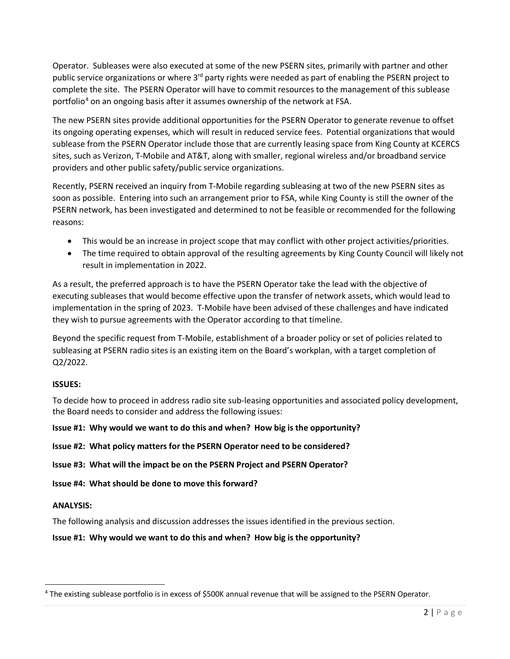Operator. Subleases were also executed at some of the new PSERN sites, primarily with partner and other public service organizations or where 3<sup>rd</sup> party rights were needed as part of enabling the PSERN project to complete the site. The PSERN Operator will have to commit resources to the management of this sublease portfolio<sup>[4](#page-30-0)</sup> on an ongoing basis after it assumes ownership of the network at FSA.

The new PSERN sites provide additional opportunities for the PSERN Operator to generate revenue to offset its ongoing operating expenses, which will result in reduced service fees. Potential organizations that would sublease from the PSERN Operator include those that are currently leasing space from King County at KCERCS sites, such as Verizon, T-Mobile and AT&T, along with smaller, regional wireless and/or broadband service providers and other public safety/public service organizations.

Recently, PSERN received an inquiry from T-Mobile regarding subleasing at two of the new PSERN sites as soon as possible. Entering into such an arrangement prior to FSA, while King County is still the owner of the PSERN network, has been investigated and determined to not be feasible or recommended for the following reasons:

- This would be an increase in project scope that may conflict with other project activities/priorities.
- The time required to obtain approval of the resulting agreements by King County Council will likely not result in implementation in 2022.

As a result, the preferred approach is to have the PSERN Operator take the lead with the objective of executing subleases that would become effective upon the transfer of network assets, which would lead to implementation in the spring of 2023. T-Mobile have been advised of these challenges and have indicated they wish to pursue agreements with the Operator according to that timeline.

Beyond the specific request from T-Mobile, establishment of a broader policy or set of policies related to subleasing at PSERN radio sites is an existing item on the Board's workplan, with a target completion of Q2/2022.

# **ISSUES:**

To decide how to proceed in address radio site sub-leasing opportunities and associated policy development, the Board needs to consider and address the following issues:

# **Issue #1: Why would we want to do this and when? How big is the opportunity?**

**Issue #2: What policy matters for the PSERN Operator need to be considered?**

# **Issue #3: What will the impact be on the PSERN Project and PSERN Operator?**

**Issue #4: What should be done to move this forward?**

# **ANALYSIS:**

The following analysis and discussion addresses the issues identified in the previous section.

# **Issue #1: Why would we want to do this and when? How big is the opportunity?**

<span id="page-30-0"></span><sup>4</sup> The existing sublease portfolio is in excess of \$500K annual revenue that will be assigned to the PSERN Operator.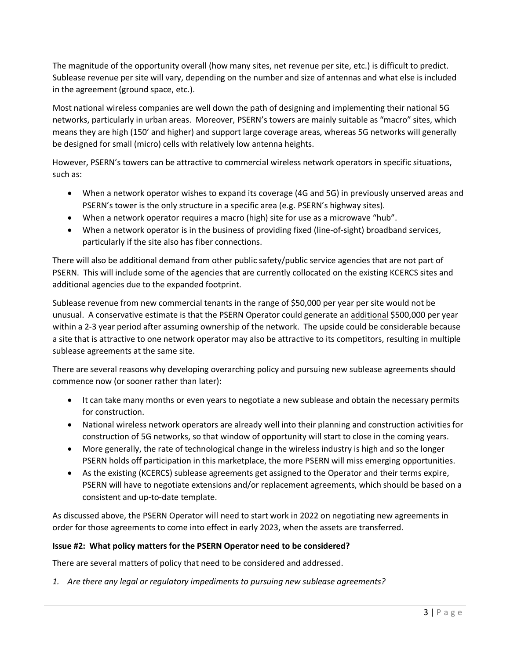The magnitude of the opportunity overall (how many sites, net revenue per site, etc.) is difficult to predict. Sublease revenue per site will vary, depending on the number and size of antennas and what else is included in the agreement (ground space, etc.).

Most national wireless companies are well down the path of designing and implementing their national 5G networks, particularly in urban areas. Moreover, PSERN's towers are mainly suitable as "macro" sites, which means they are high (150' and higher) and support large coverage areas, whereas 5G networks will generally be designed for small (micro) cells with relatively low antenna heights.

However, PSERN's towers can be attractive to commercial wireless network operators in specific situations, such as:

- When a network operator wishes to expand its coverage (4G and 5G) in previously unserved areas and PSERN's tower is the only structure in a specific area (e.g. PSERN's highway sites).
- When a network operator requires a macro (high) site for use as a microwave "hub".
- When a network operator is in the business of providing fixed (line-of-sight) broadband services, particularly if the site also has fiber connections.

There will also be additional demand from other public safety/public service agencies that are not part of PSERN. This will include some of the agencies that are currently collocated on the existing KCERCS sites and additional agencies due to the expanded footprint.

Sublease revenue from new commercial tenants in the range of \$50,000 per year per site would not be unusual. A conservative estimate is that the PSERN Operator could generate an additional \$500,000 per year within a 2-3 year period after assuming ownership of the network. The upside could be considerable because a site that is attractive to one network operator may also be attractive to its competitors, resulting in multiple sublease agreements at the same site.

There are several reasons why developing overarching policy and pursuing new sublease agreements should commence now (or sooner rather than later):

- It can take many months or even years to negotiate a new sublease and obtain the necessary permits for construction.
- National wireless network operators are already well into their planning and construction activities for construction of 5G networks, so that window of opportunity will start to close in the coming years.
- More generally, the rate of technological change in the wireless industry is high and so the longer PSERN holds off participation in this marketplace, the more PSERN will miss emerging opportunities.
- As the existing (KCERCS) sublease agreements get assigned to the Operator and their terms expire, PSERN will have to negotiate extensions and/or replacement agreements, which should be based on a consistent and up-to-date template.

As discussed above, the PSERN Operator will need to start work in 2022 on negotiating new agreements in order for those agreements to come into effect in early 2023, when the assets are transferred.

# **Issue #2: What policy matters for the PSERN Operator need to be considered?**

There are several matters of policy that need to be considered and addressed.

*1. Are there any legal or regulatory impediments to pursuing new sublease agreements?*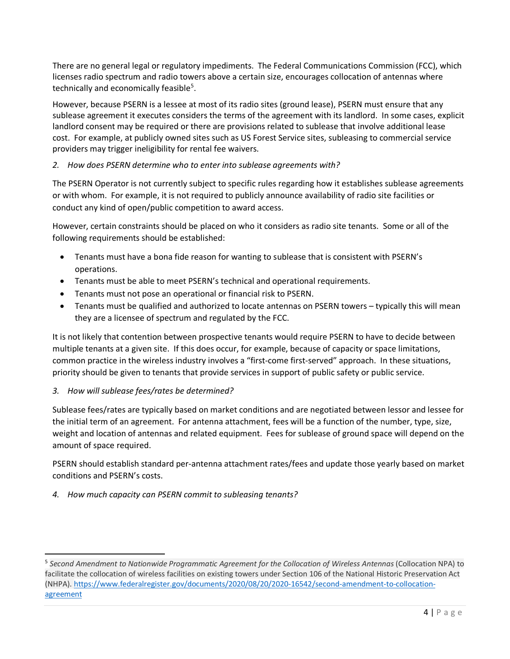There are no general legal or regulatory impediments. The Federal Communications Commission (FCC), which licenses radio spectrum and radio towers above a certain size, encourages collocation of antennas where technically and economically feasible<sup>[5](#page-32-0)</sup>.

However, because PSERN is a lessee at most of its radio sites (ground lease), PSERN must ensure that any sublease agreement it executes considers the terms of the agreement with its landlord. In some cases, explicit landlord consent may be required or there are provisions related to sublease that involve additional lease cost. For example, at publicly owned sites such as US Forest Service sites, subleasing to commercial service providers may trigger ineligibility for rental fee waivers.

# *2. How does PSERN determine who to enter into sublease agreements with?*

The PSERN Operator is not currently subject to specific rules regarding how it establishes sublease agreements or with whom. For example, it is not required to publicly announce availability of radio site facilities or conduct any kind of open/public competition to award access.

However, certain constraints should be placed on who it considers as radio site tenants. Some or all of the following requirements should be established:

- Tenants must have a bona fide reason for wanting to sublease that is consistent with PSERN's operations.
- Tenants must be able to meet PSERN's technical and operational requirements.
- Tenants must not pose an operational or financial risk to PSERN.
- Tenants must be qualified and authorized to locate antennas on PSERN towers typically this will mean they are a licensee of spectrum and regulated by the FCC.

It is not likely that contention between prospective tenants would require PSERN to have to decide between multiple tenants at a given site. If this does occur, for example, because of capacity or space limitations, common practice in the wireless industry involves a "first-come first-served" approach. In these situations, priority should be given to tenants that provide services in support of public safety or public service.

# *3. How will sublease fees/rates be determined?*

Sublease fees/rates are typically based on market conditions and are negotiated between lessor and lessee for the initial term of an agreement. For antenna attachment, fees will be a function of the number, type, size, weight and location of antennas and related equipment. Fees for sublease of ground space will depend on the amount of space required.

PSERN should establish standard per-antenna attachment rates/fees and update those yearly based on market conditions and PSERN's costs.

*4. How much capacity can PSERN commit to subleasing tenants?* 

<span id="page-32-0"></span><sup>5</sup> *Second Amendment to Nationwide Programmatic Agreement for the Collocation of Wireless Antennas* (Collocation NPA) to facilitate the collocation of wireless facilities on existing towers under Section 106 of the National Historic Preservation Act (NHPA)[. https://www.federalregister.gov/documents/2020/08/20/2020-16542/second-amendment-to-collocation](https://www.federalregister.gov/documents/2020/08/20/2020-16542/second-amendment-to-collocation-agreement)[agreement](https://www.federalregister.gov/documents/2020/08/20/2020-16542/second-amendment-to-collocation-agreement)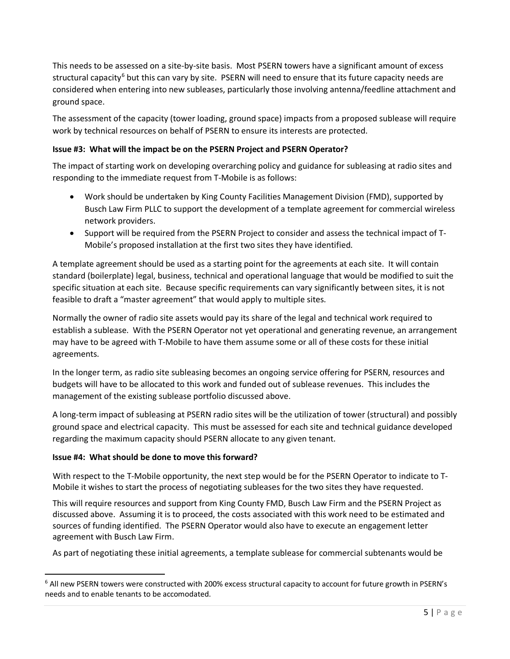This needs to be assessed on a site-by-site basis. Most PSERN towers have a significant amount of excess structural capacity<sup>[6](#page-33-0)</sup> but this can vary by site. PSERN will need to ensure that its future capacity needs are considered when entering into new subleases, particularly those involving antenna/feedline attachment and ground space.

The assessment of the capacity (tower loading, ground space) impacts from a proposed sublease will require work by technical resources on behalf of PSERN to ensure its interests are protected.

# **Issue #3: What will the impact be on the PSERN Project and PSERN Operator?**

The impact of starting work on developing overarching policy and guidance for subleasing at radio sites and responding to the immediate request from T-Mobile is as follows:

- Work should be undertaken by King County Facilities Management Division (FMD), supported by Busch Law Firm PLLC to support the development of a template agreement for commercial wireless network providers.
- Support will be required from the PSERN Project to consider and assess the technical impact of T-Mobile's proposed installation at the first two sites they have identified.

A template agreement should be used as a starting point for the agreements at each site. It will contain standard (boilerplate) legal, business, technical and operational language that would be modified to suit the specific situation at each site. Because specific requirements can vary significantly between sites, it is not feasible to draft a "master agreement" that would apply to multiple sites.

Normally the owner of radio site assets would pay its share of the legal and technical work required to establish a sublease. With the PSERN Operator not yet operational and generating revenue, an arrangement may have to be agreed with T-Mobile to have them assume some or all of these costs for these initial agreements.

In the longer term, as radio site subleasing becomes an ongoing service offering for PSERN, resources and budgets will have to be allocated to this work and funded out of sublease revenues. This includes the management of the existing sublease portfolio discussed above.

A long-term impact of subleasing at PSERN radio sites will be the utilization of tower (structural) and possibly ground space and electrical capacity. This must be assessed for each site and technical guidance developed regarding the maximum capacity should PSERN allocate to any given tenant.

# **Issue #4: What should be done to move this forward?**

With respect to the T-Mobile opportunity, the next step would be for the PSERN Operator to indicate to T-Mobile it wishes to start the process of negotiating subleases for the two sites they have requested.

This will require resources and support from King County FMD, Busch Law Firm and the PSERN Project as discussed above. Assuming it is to proceed, the costs associated with this work need to be estimated and sources of funding identified. The PSERN Operator would also have to execute an engagement letter agreement with Busch Law Firm.

As part of negotiating these initial agreements, a template sublease for commercial subtenants would be

<span id="page-33-0"></span><sup>6</sup> All new PSERN towers were constructed with 200% excess structural capacity to account for future growth in PSERN's needs and to enable tenants to be accomodated.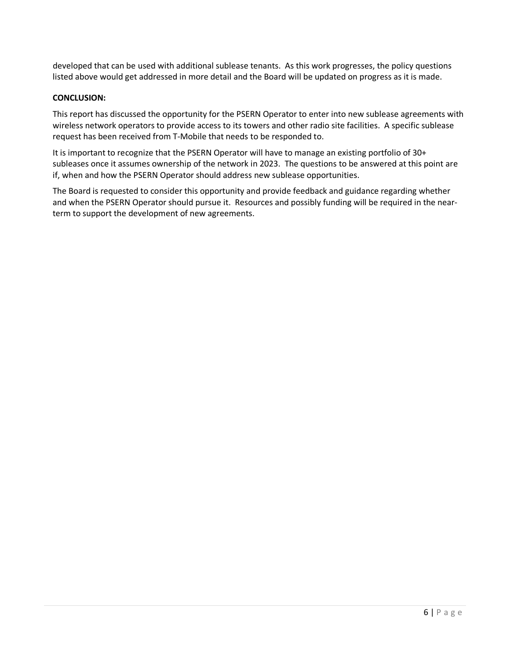developed that can be used with additional sublease tenants. As this work progresses, the policy questions listed above would get addressed in more detail and the Board will be updated on progress as it is made.

# **CONCLUSION:**

This report has discussed the opportunity for the PSERN Operator to enter into new sublease agreements with wireless network operators to provide access to its towers and other radio site facilities. A specific sublease request has been received from T-Mobile that needs to be responded to.

It is important to recognize that the PSERN Operator will have to manage an existing portfolio of 30+ subleases once it assumes ownership of the network in 2023. The questions to be answered at this point are if, when and how the PSERN Operator should address new sublease opportunities.

The Board is requested to consider this opportunity and provide feedback and guidance regarding whether and when the PSERN Operator should pursue it. Resources and possibly funding will be required in the nearterm to support the development of new agreements.